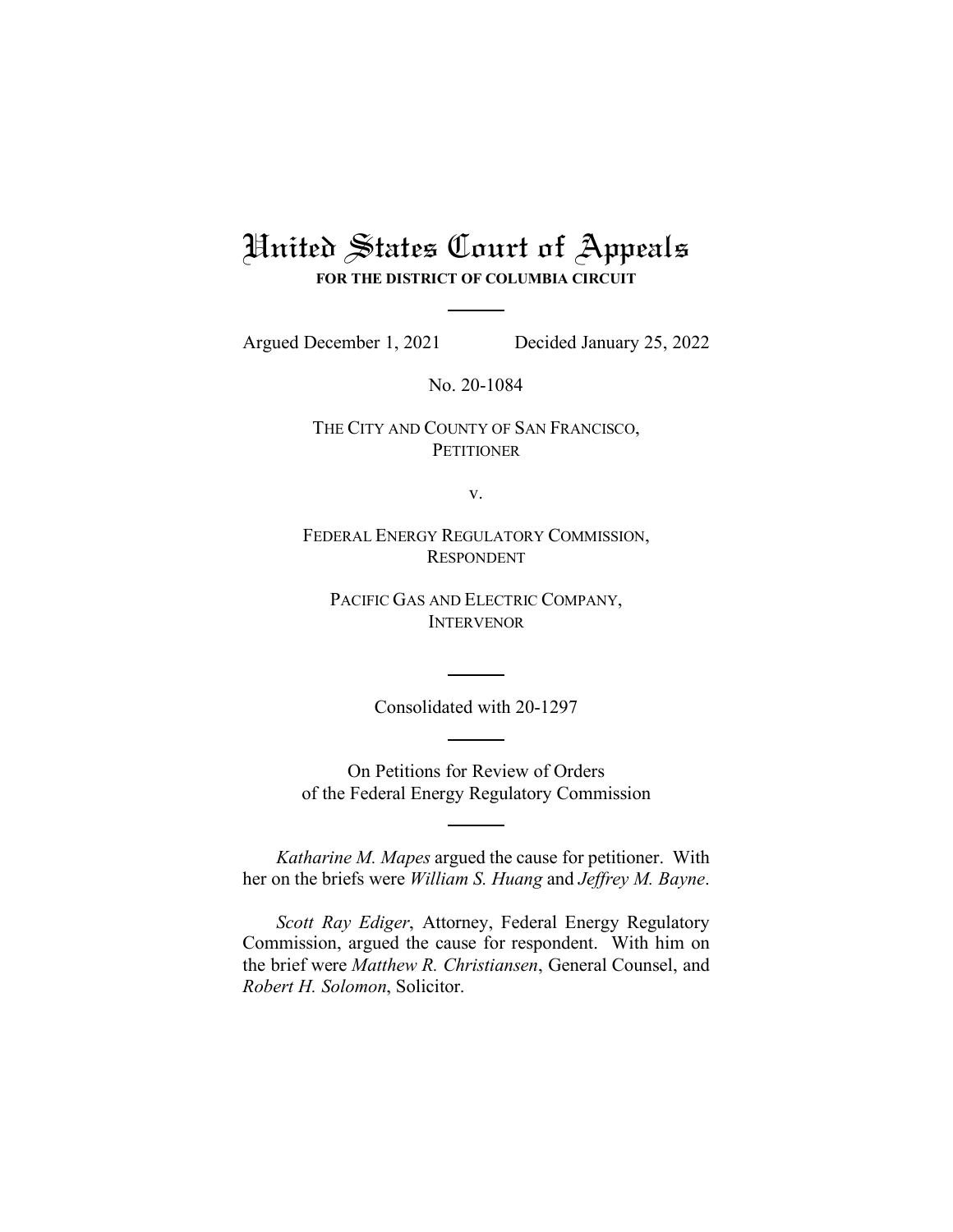# United States Court of Appeals **FOR THE DISTRICT OF COLUMBIA CIRCUIT**

Argued December 1, 2021 Decided January 25, 2022

No. 20-1084

THE CITY AND COUNTY OF SAN FRANCISCO, **PETITIONER** 

v.

FEDERAL ENERGY REGULATORY COMMISSION, RESPONDENT

PACIFIC GAS AND ELECTRIC COMPANY, **INTERVENOR** 

Consolidated with 20-1297

On Petitions for Review of Orders of the Federal Energy Regulatory Commission

*Katharine M. Mapes* argued the cause for petitioner. With her on the briefs were *William S. Huang* and *Jeffrey M. Bayne*.

*Scott Ray Ediger*, Attorney, Federal Energy Regulatory Commission, argued the cause for respondent. With him on the brief were *Matthew R. Christiansen*, General Counsel, and *Robert H. Solomon*, Solicitor.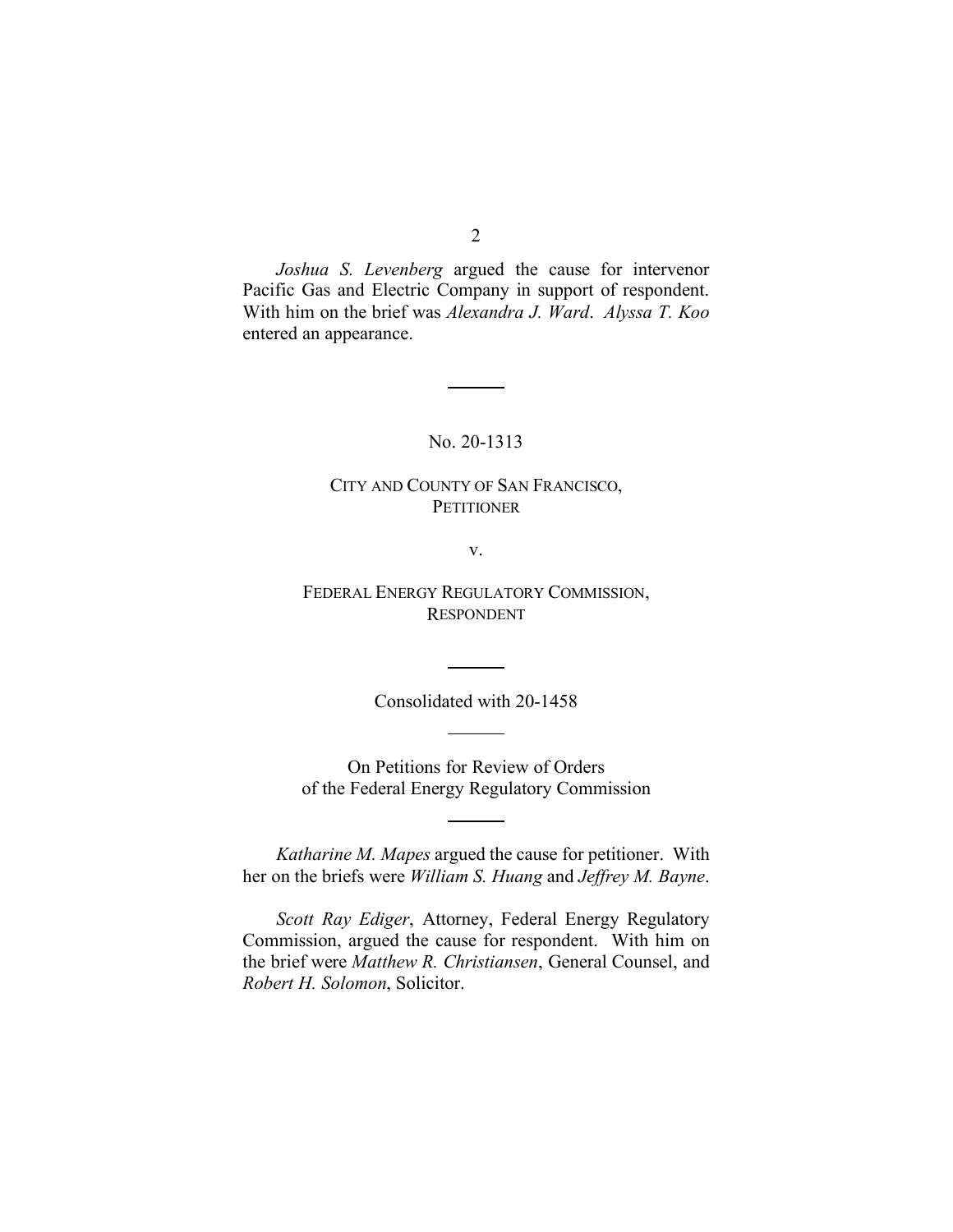*Joshua S. Levenberg* argued the cause for intervenor Pacific Gas and Electric Company in support of respondent. With him on the brief was *Alexandra J. Ward*. *Alyssa T. Koo* entered an appearance.

# No. 20-1313

# CITY AND COUNTY OF SAN FRANCISCO, **PETITIONER**

v.

# FEDERAL ENERGY REGULATORY COMMISSION, RESPONDENT

Consolidated with 20-1458

On Petitions for Review of Orders of the Federal Energy Regulatory Commission

*Katharine M. Mapes* argued the cause for petitioner. With her on the briefs were *William S. Huang* and *Jeffrey M. Bayne*.

*Scott Ray Ediger*, Attorney, Federal Energy Regulatory Commission, argued the cause for respondent. With him on the brief were *Matthew R. Christiansen*, General Counsel, and *Robert H. Solomon*, Solicitor.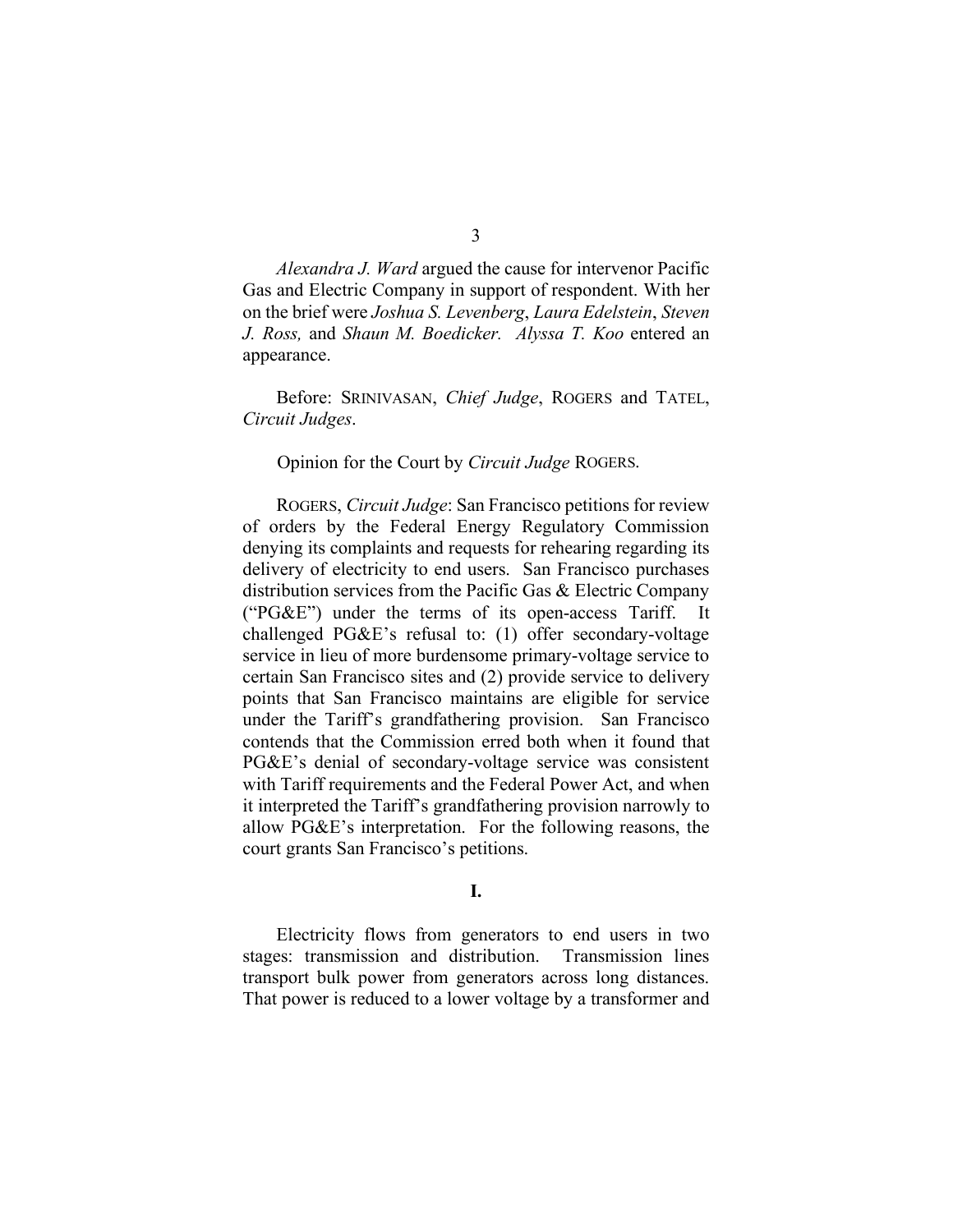*Alexandra J. Ward* argued the cause for intervenor Pacific Gas and Electric Company in support of respondent. With her on the brief were *Joshua S. Levenberg*, *Laura Edelstein*, *Steven J. Ross,* and *Shaun M. Boedicker. Alyssa T. Koo* entered an appearance.

Before: SRINIVASAN, *Chief Judge*, ROGERS and TATEL, *Circuit Judges*.

#### Opinion for the Court by *Circuit Judge* ROGERS.

ROGERS, *Circuit Judge*: San Francisco petitions for review of orders by the Federal Energy Regulatory Commission denying its complaints and requests for rehearing regarding its delivery of electricity to end users. San Francisco purchases distribution services from the Pacific Gas & Electric Company ( $PG\&E'$ ) under the terms of its open-access Tariff. challenged PG&E's refusal to: (1) offer secondary-voltage service in lieu of more burdensome primary-voltage service to certain San Francisco sites and (2) provide service to delivery points that San Francisco maintains are eligible for service under the Tariff's grandfathering provision. San Francisco contends that the Commission erred both when it found that PG&E's denial of secondary-voltage service was consistent with Tariff requirements and the Federal Power Act, and when it interpreted the Tariff's grandfathering provision narrowly to allow PG&E's interpretation. For the following reasons, the court grants San Francisco's petitions.

# **I.**

Electricity flows from generators to end users in two stages: transmission and distribution. Transmission lines transport bulk power from generators across long distances. That power is reduced to a lower voltage by a transformer and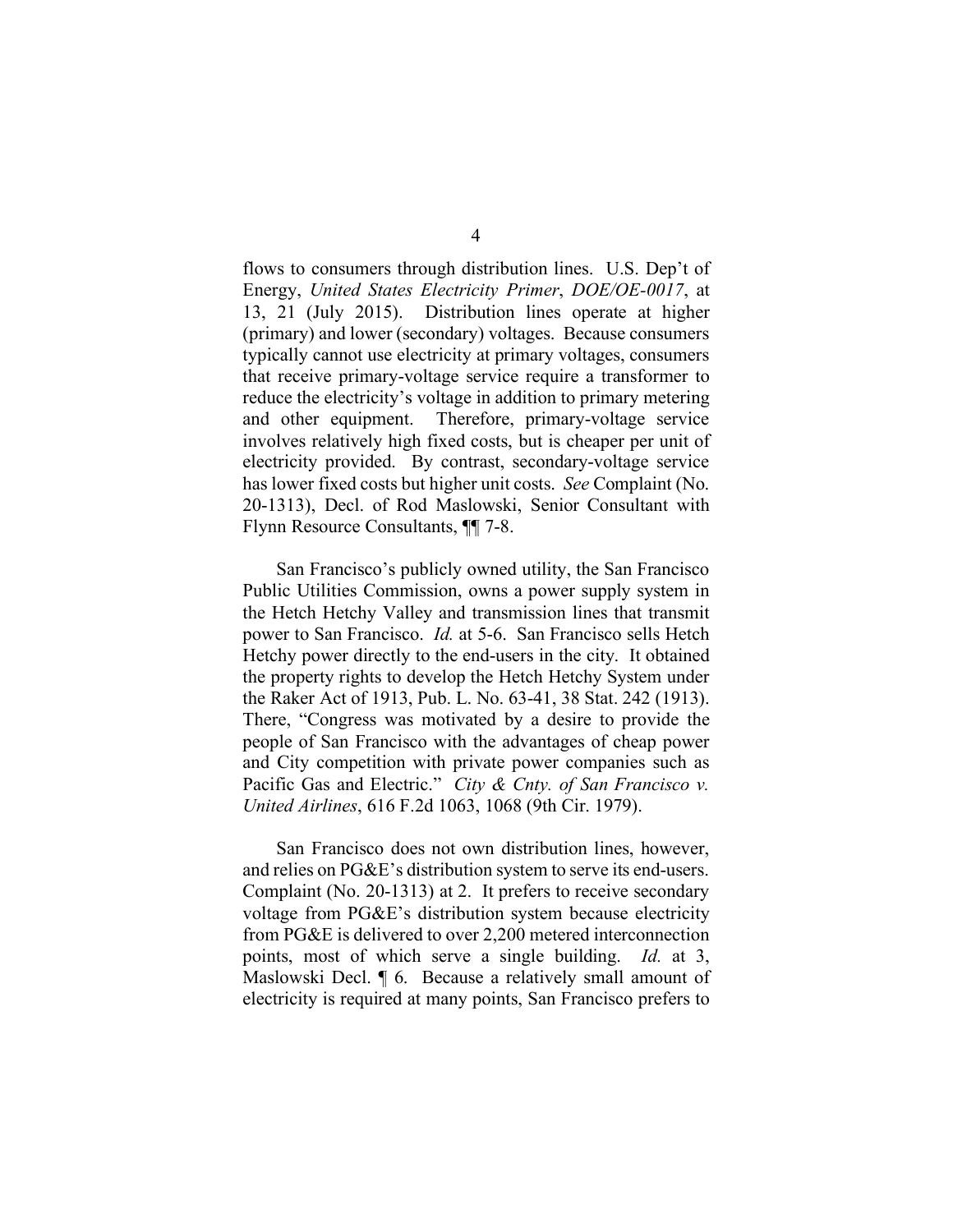flows to consumers through distribution lines. U.S. Dep't of Energy, *United States Electricity Primer*, *DOE/OE-0017*, at 13, 21 (July 2015). Distribution lines operate at higher (primary) and lower (secondary) voltages. Because consumers typically cannot use electricity at primary voltages, consumers that receive primary-voltage service require a transformer to reduce the electricity's voltage in addition to primary metering and other equipment. Therefore, primary-voltage service involves relatively high fixed costs, but is cheaper per unit of electricity provided. By contrast, secondary-voltage service has lower fixed costs but higher unit costs. *See* Complaint (No. 20-1313), Decl. of Rod Maslowski, Senior Consultant with Flynn Resource Consultants, ¶¶ 7-8.

San Francisco's publicly owned utility, the San Francisco Public Utilities Commission, owns a power supply system in the Hetch Hetchy Valley and transmission lines that transmit power to San Francisco. *Id.* at 5-6. San Francisco sells Hetch Hetchy power directly to the end-users in the city. It obtained the property rights to develop the Hetch Hetchy System under the Raker Act of 1913, Pub. L. No. 63-41, 38 Stat. 242 (1913). There, "Congress was motivated by a desire to provide the people of San Francisco with the advantages of cheap power and City competition with private power companies such as Pacific Gas and Electric." *City & Cnty. of San Francisco v. United Airlines*, 616 F.2d 1063, 1068 (9th Cir. 1979).

San Francisco does not own distribution lines, however, and relies on PG&E's distribution system to serve its end-users. Complaint (No. 20-1313) at 2. It prefers to receive secondary voltage from PG&E's distribution system because electricity from PG&E is delivered to over 2,200 metered interconnection points, most of which serve a single building. *Id.* at 3, Maslowski Decl. ¶ 6. Because a relatively small amount of electricity is required at many points, San Francisco prefers to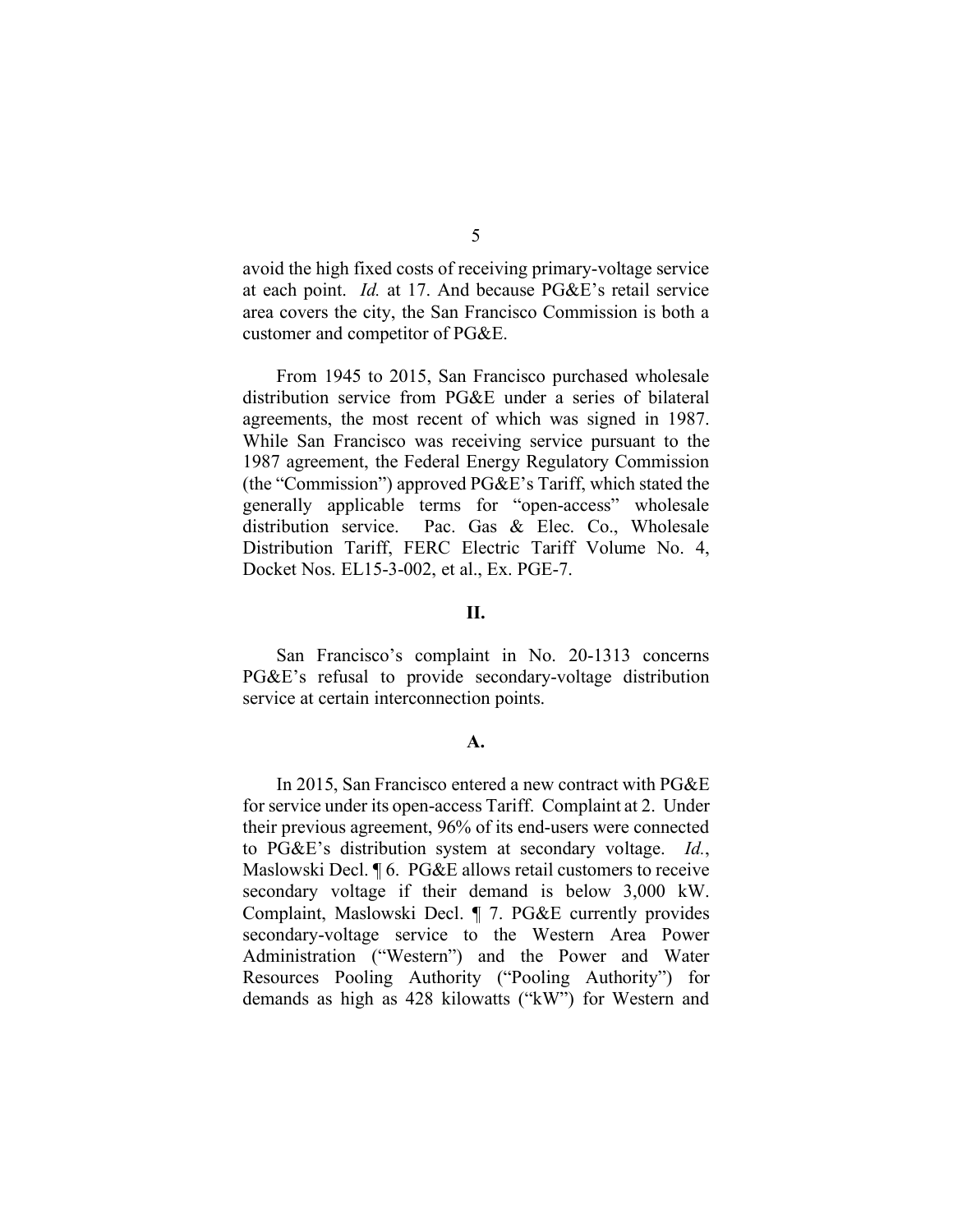avoid the high fixed costs of receiving primary-voltage service at each point. *Id.* at 17. And because PG&E's retail service area covers the city, the San Francisco Commission is both a customer and competitor of PG&E.

From 1945 to 2015, San Francisco purchased wholesale distribution service from PG&E under a series of bilateral agreements, the most recent of which was signed in 1987. While San Francisco was receiving service pursuant to the 1987 agreement, the Federal Energy Regulatory Commission (the "Commission") approved PG&E's Tariff, which stated the generally applicable terms for "open-access" wholesale distribution service. Pac. Gas & Elec. Co., Wholesale Distribution Tariff, FERC Electric Tariff Volume No. 4, Docket Nos. EL15-3-002, et al., Ex. PGE-7.

#### **II.**

San Francisco's complaint in No. 20-1313 concerns PG&E's refusal to provide secondary-voltage distribution service at certain interconnection points.

#### **A.**

In 2015, San Francisco entered a new contract with PG&E for service under its open-access Tariff. Complaint at 2. Under their previous agreement, 96% of its end-users were connected to PG&E's distribution system at secondary voltage. *Id.*, Maslowski Decl. **[6. PG&E allows retail customers to receive** secondary voltage if their demand is below 3,000 kW. Complaint, Maslowski Decl. ¶ 7. PG&E currently provides secondary-voltage service to the Western Area Power Administration ("Western") and the Power and Water Resources Pooling Authority ("Pooling Authority") for demands as high as 428 kilowatts ("kW") for Western and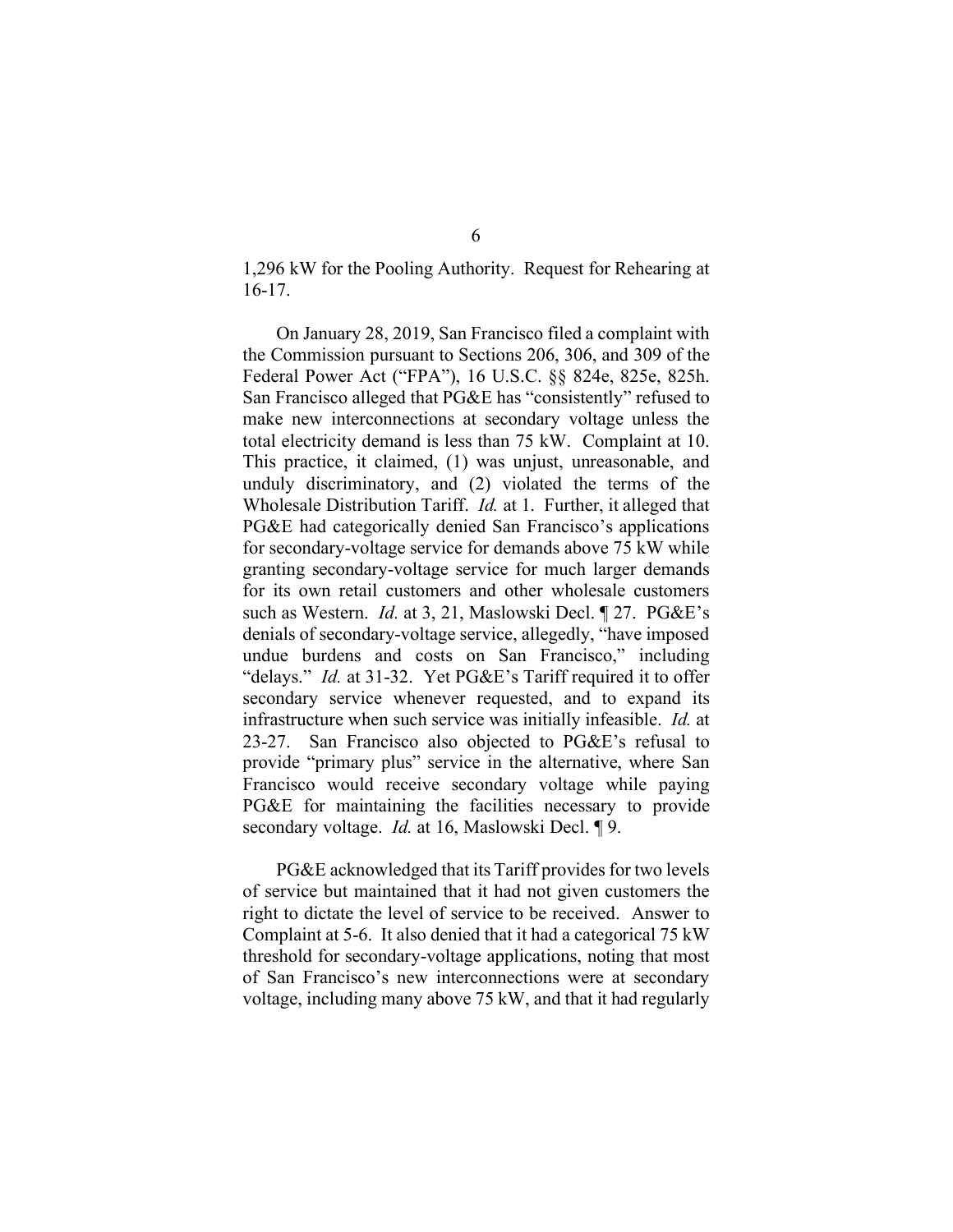1,296 kW for the Pooling Authority. Request for Rehearing at 16-17.

On January 28, 2019, San Francisco filed a complaint with the Commission pursuant to Sections 206, 306, and 309 of the Federal Power Act ("FPA"), 16 U.S.C. §§ 824e, 825e, 825h. San Francisco alleged that PG&E has "consistently" refused to make new interconnections at secondary voltage unless the total electricity demand is less than 75 kW. Complaint at 10. This practice, it claimed, (1) was unjust, unreasonable, and unduly discriminatory, and (2) violated the terms of the Wholesale Distribution Tariff. *Id.* at 1. Further, it alleged that PG&E had categorically denied San Francisco's applications for secondary-voltage service for demands above 75 kW while granting secondary-voltage service for much larger demands for its own retail customers and other wholesale customers such as Western. *Id.* at 3, 21, Maslowski Decl. ¶ 27. PG&E's denials of secondary-voltage service, allegedly, "have imposed undue burdens and costs on San Francisco," including "delays." *Id.* at 31-32. Yet PG&E's Tariff required it to offer secondary service whenever requested, and to expand its infrastructure when such service was initially infeasible. *Id.* at 23-27. San Francisco also objected to PG&E's refusal to provide "primary plus" service in the alternative, where San Francisco would receive secondary voltage while paying PG&E for maintaining the facilities necessary to provide secondary voltage. *Id.* at 16, Maslowski Decl. ¶ 9.

PG&E acknowledged that its Tariff provides for two levels of service but maintained that it had not given customers the right to dictate the level of service to be received. Answer to Complaint at 5-6. It also denied that it had a categorical 75 kW threshold for secondary-voltage applications, noting that most of San Francisco's new interconnections were at secondary voltage, including many above 75 kW, and that it had regularly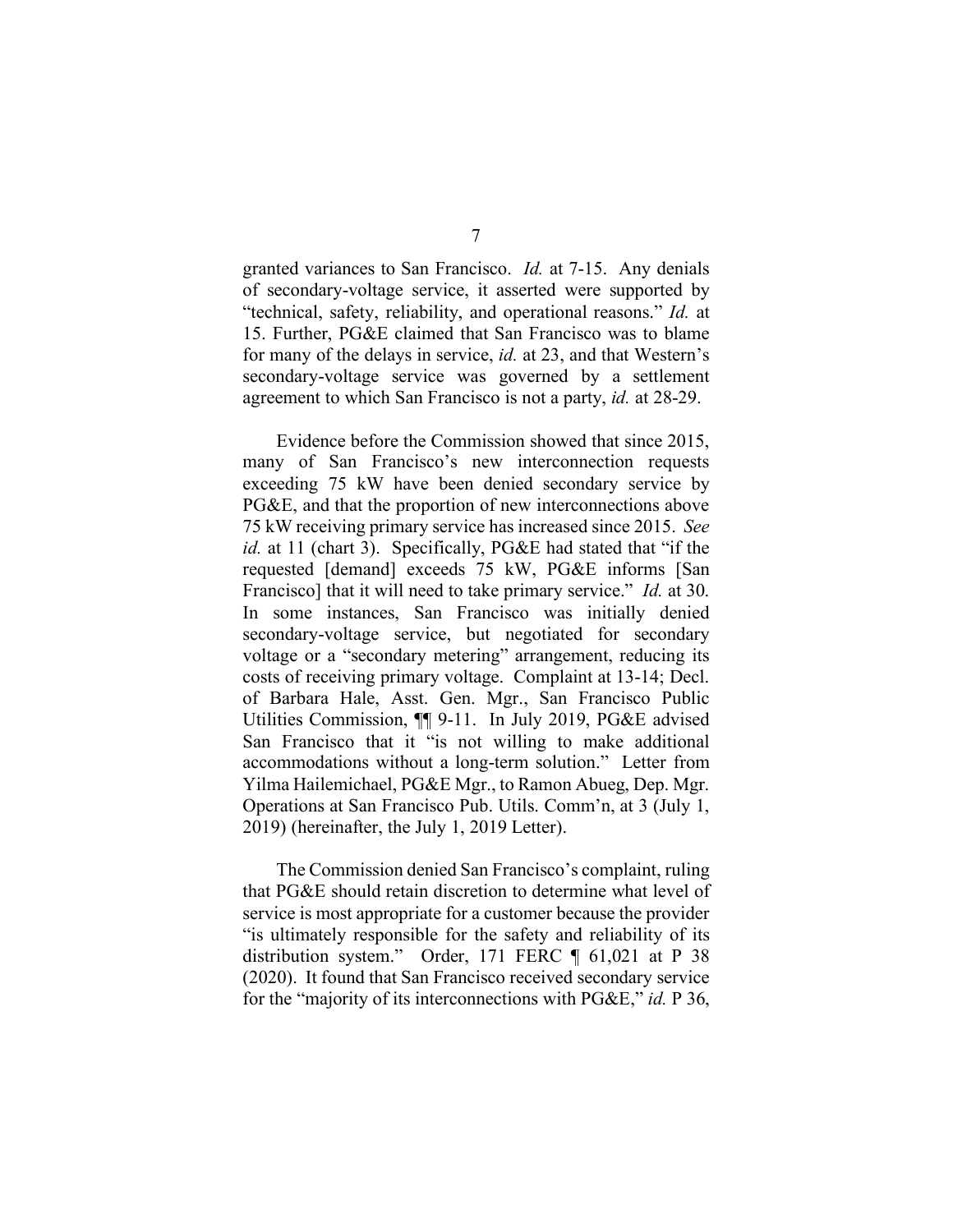granted variances to San Francisco. *Id.* at 7-15. Any denials of secondary-voltage service, it asserted were supported by "technical, safety, reliability, and operational reasons." *Id.* at 15. Further, PG&E claimed that San Francisco was to blame for many of the delays in service, *id.* at 23, and that Western's secondary-voltage service was governed by a settlement agreement to which San Francisco is not a party, *id.* at 28-29.

Evidence before the Commission showed that since 2015, many of San Francisco's new interconnection requests exceeding 75 kW have been denied secondary service by PG&E, and that the proportion of new interconnections above 75 kW receiving primary service has increased since 2015. *See id.* at 11 (chart 3). Specifically, PG&E had stated that "if the requested [demand] exceeds 75 kW, PG&E informs [San Francisco] that it will need to take primary service." *Id.* at 30. In some instances, San Francisco was initially denied secondary-voltage service, but negotiated for secondary voltage or a "secondary metering" arrangement, reducing its costs of receiving primary voltage. Complaint at 13-14; Decl. of Barbara Hale, Asst. Gen. Mgr., San Francisco Public Utilities Commission, ¶¶ 9-11. In July 2019, PG&E advised San Francisco that it "is not willing to make additional accommodations without a long-term solution." Letter from Yilma Hailemichael, PG&E Mgr., to Ramon Abueg, Dep. Mgr. Operations at San Francisco Pub. Utils. Comm'n, at 3 (July 1, 2019) (hereinafter, the July 1, 2019 Letter).

The Commission denied San Francisco's complaint, ruling that PG&E should retain discretion to determine what level of service is most appropriate for a customer because the provider "is ultimately responsible for the safety and reliability of its distribution system." Order, 171 FERC ¶ 61,021 at P 38 (2020). It found that San Francisco received secondary service for the "majority of its interconnections with PG&E," *id.* P 36,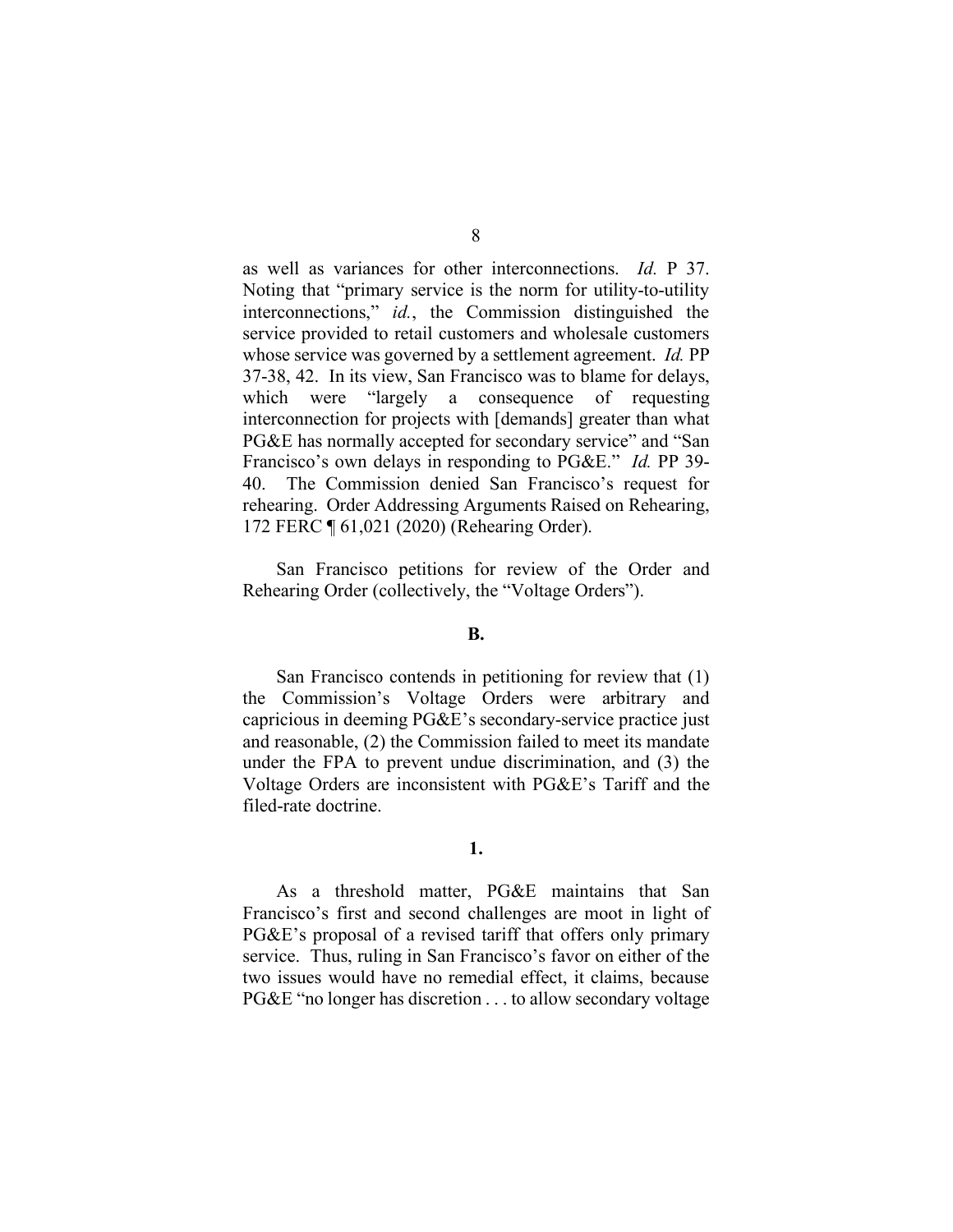as well as variances for other interconnections. *Id.* P 37. Noting that "primary service is the norm for utility-to-utility interconnections," *id.*, the Commission distinguished the service provided to retail customers and wholesale customers whose service was governed by a settlement agreement. *Id.* PP 37-38, 42. In its view, San Francisco was to blame for delays, which were "largely a consequence of requesting interconnection for projects with [demands] greater than what PG&E has normally accepted for secondary service" and "San Francisco's own delays in responding to PG&E." *Id.* PP 39- 40. The Commission denied San Francisco's request for rehearing. Order Addressing Arguments Raised on Rehearing, 172 FERC ¶ 61,021 (2020) (Rehearing Order).

San Francisco petitions for review of the Order and Rehearing Order (collectively, the "Voltage Orders").

#### **B.**

San Francisco contends in petitioning for review that (1) the Commission's Voltage Orders were arbitrary and capricious in deeming PG&E's secondary-service practice just and reasonable, (2) the Commission failed to meet its mandate under the FPA to prevent undue discrimination, and (3) the Voltage Orders are inconsistent with PG&E's Tariff and the filed-rate doctrine.

#### **1.**

As a threshold matter, PG&E maintains that San Francisco's first and second challenges are moot in light of PG&E's proposal of a revised tariff that offers only primary service. Thus, ruling in San Francisco's favor on either of the two issues would have no remedial effect, it claims, because PG&E "no longer has discretion . . . to allow secondary voltage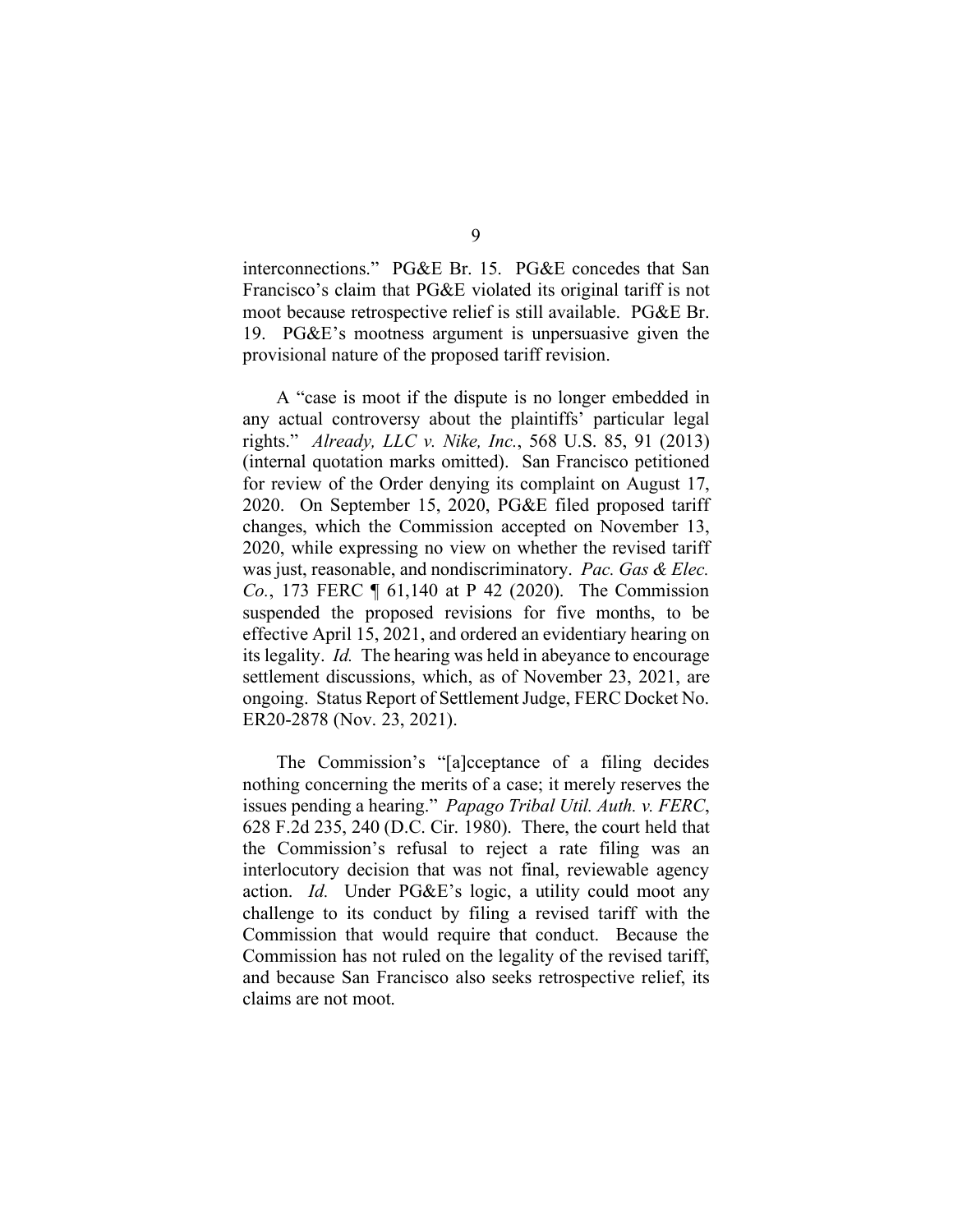interconnections." PG&E Br. 15. PG&E concedes that San Francisco's claim that PG&E violated its original tariff is not moot because retrospective relief is still available. PG&E Br. 19. PG&E's mootness argument is unpersuasive given the provisional nature of the proposed tariff revision.

A "case is moot if the dispute is no longer embedded in any actual controversy about the plaintiffs' particular legal rights." *Already, LLC v. Nike, Inc.*, 568 U.S. 85, 91 (2013) (internal quotation marks omitted). San Francisco petitioned for review of the Order denying its complaint on August 17, 2020. On September 15, 2020, PG&E filed proposed tariff changes, which the Commission accepted on November 13, 2020, while expressing no view on whether the revised tariff was just, reasonable, and nondiscriminatory. *Pac. Gas & Elec. Co.*, 173 FERC ¶ 61,140 at P 42 (2020). The Commission suspended the proposed revisions for five months, to be effective April 15, 2021, and ordered an evidentiary hearing on its legality. *Id.* The hearing was held in abeyance to encourage settlement discussions, which, as of November 23, 2021, are ongoing. Status Report of Settlement Judge, FERC Docket No. ER20-2878 (Nov. 23, 2021).

The Commission's "[a]cceptance of a filing decides nothing concerning the merits of a case; it merely reserves the issues pending a hearing." *Papago Tribal Util. Auth. v. FERC*, 628 F.2d 235, 240 (D.C. Cir. 1980). There, the court held that the Commission's refusal to reject a rate filing was an interlocutory decision that was not final, reviewable agency action. *Id.* Under PG&E's logic, a utility could moot any challenge to its conduct by filing a revised tariff with the Commission that would require that conduct. Because the Commission has not ruled on the legality of the revised tariff, and because San Francisco also seeks retrospective relief, its claims are not moot.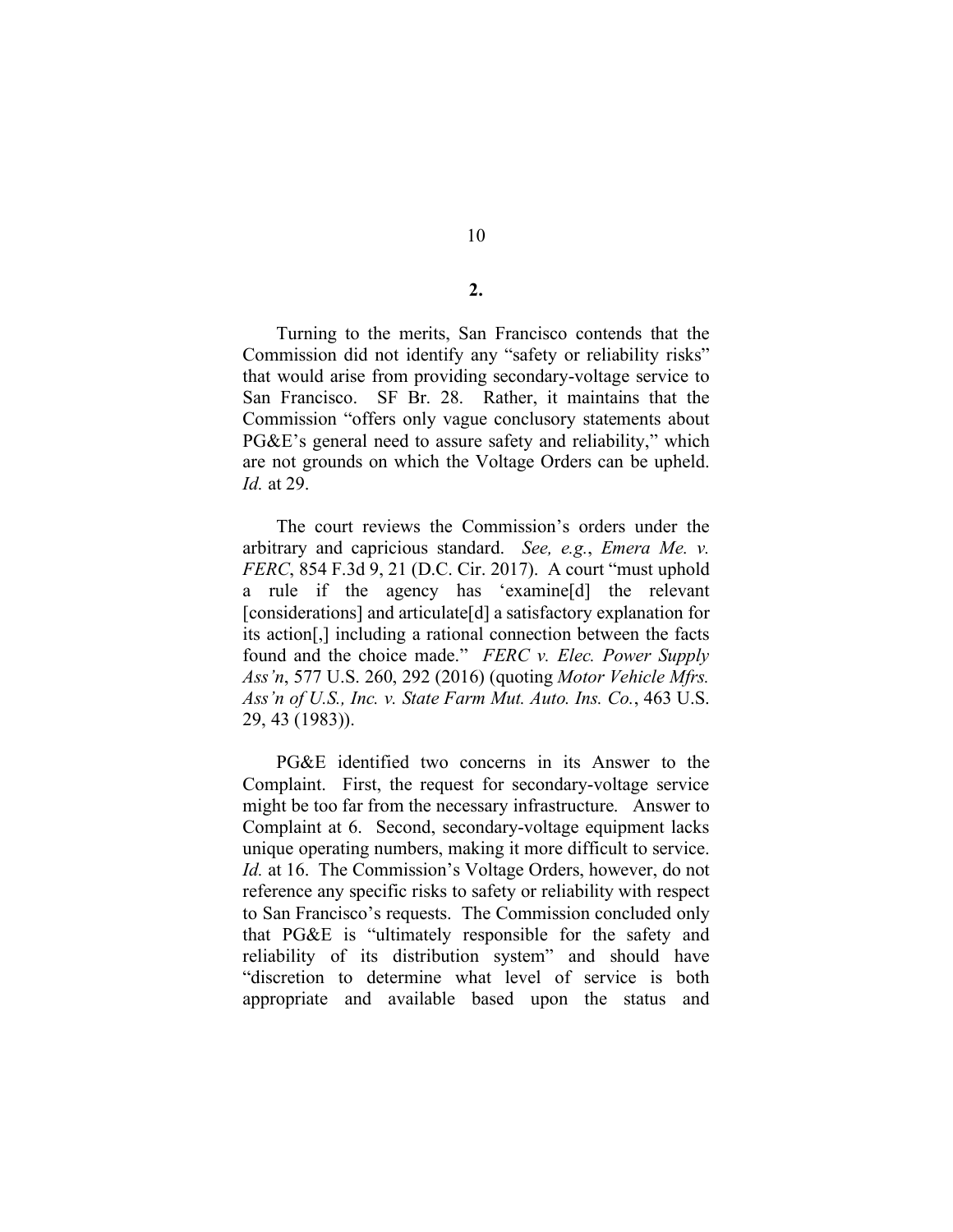**2.**

10

Turning to the merits, San Francisco contends that the Commission did not identify any "safety or reliability risks" that would arise from providing secondary-voltage service to San Francisco. SF Br. 28. Rather, it maintains that the Commission "offers only vague conclusory statements about PG&E's general need to assure safety and reliability," which are not grounds on which the Voltage Orders can be upheld. *Id.* at 29.

The court reviews the Commission's orders under the arbitrary and capricious standard. *See, e.g.*, *Emera Me. v. FERC*, 854 F.3d 9, 21 (D.C. Cir. 2017). A court "must uphold a rule if the agency has 'examine[d] the relevant [considerations] and articulate[d] a satisfactory explanation for its action[,] including a rational connection between the facts found and the choice made." *FERC v. Elec. Power Supply Ass'n*, 577 U.S. 260, 292 (2016) (quoting *Motor Vehicle Mfrs. Ass'n of U.S., Inc. v. State Farm Mut. Auto. Ins. Co.*, 463 U.S. 29, 43 (1983)).

PG&E identified two concerns in its Answer to the Complaint. First, the request for secondary-voltage service might be too far from the necessary infrastructure. Answer to Complaint at 6. Second, secondary-voltage equipment lacks unique operating numbers, making it more difficult to service. *Id.* at 16. The Commission's Voltage Orders, however, do not reference any specific risks to safety or reliability with respect to San Francisco's requests. The Commission concluded only that PG&E is "ultimately responsible for the safety and reliability of its distribution system" and should have "discretion to determine what level of service is both appropriate and available based upon the status and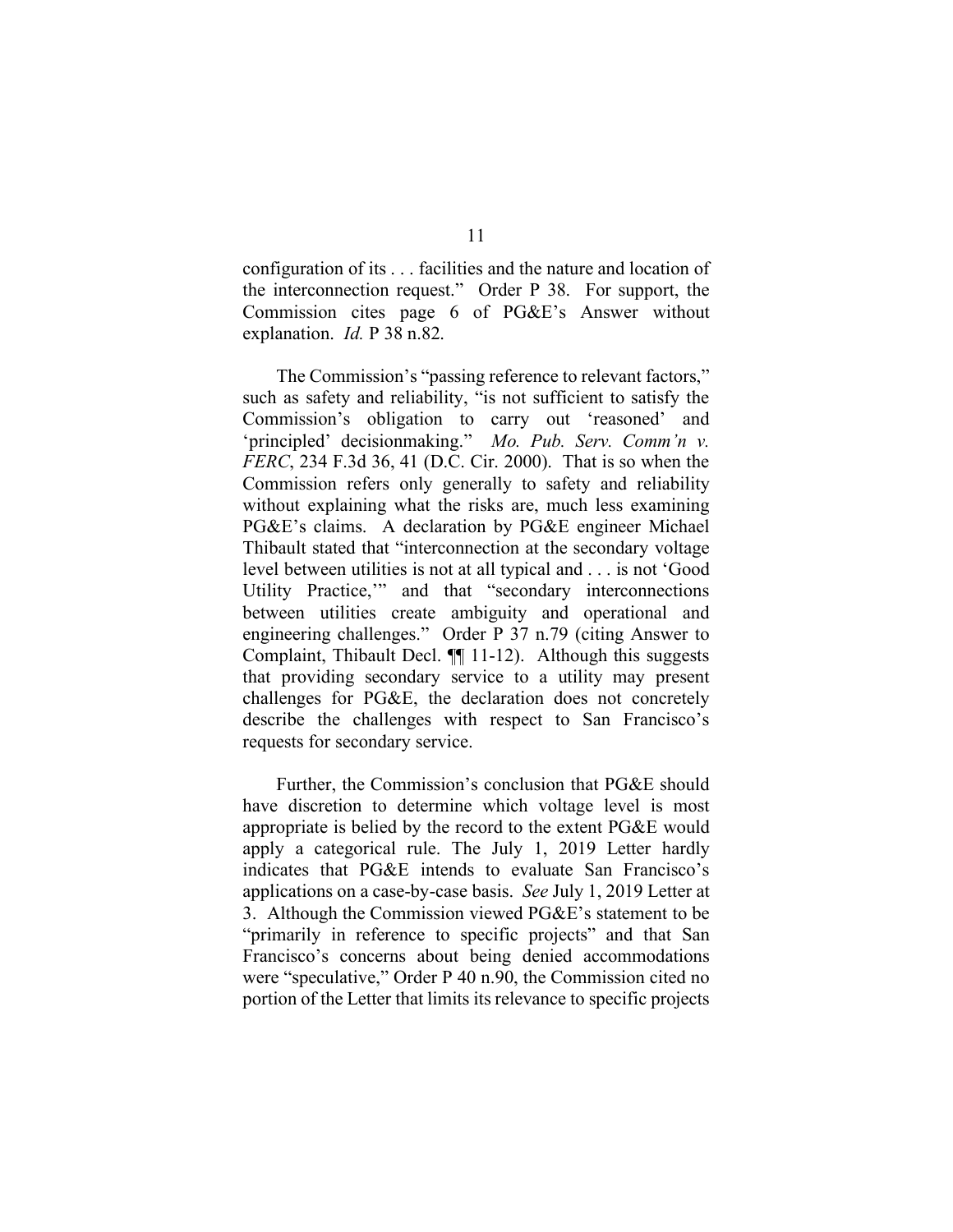configuration of its . . . facilities and the nature and location of the interconnection request." Order P 38. For support, the Commission cites page 6 of PG&E's Answer without explanation. *Id.* P 38 n.82.

The Commission's "passing reference to relevant factors," such as safety and reliability, "is not sufficient to satisfy the Commission's obligation to carry out 'reasoned' and 'principled' decisionmaking." *Mo. Pub. Serv. Comm'n v. FERC*, 234 F.3d 36, 41 (D.C. Cir. 2000). That is so when the Commission refers only generally to safety and reliability without explaining what the risks are, much less examining PG&E's claims. A declaration by PG&E engineer Michael Thibault stated that "interconnection at the secondary voltage level between utilities is not at all typical and . . . is not 'Good Utility Practice,'" and that "secondary interconnections between utilities create ambiguity and operational and engineering challenges." Order P 37 n.79 (citing Answer to Complaint, Thibault Decl. ¶¶ 11-12). Although this suggests that providing secondary service to a utility may present challenges for PG&E, the declaration does not concretely describe the challenges with respect to San Francisco's requests for secondary service.

Further, the Commission's conclusion that PG&E should have discretion to determine which voltage level is most appropriate is belied by the record to the extent PG&E would apply a categorical rule. The July 1, 2019 Letter hardly indicates that PG&E intends to evaluate San Francisco's applications on a case-by-case basis. *See* July 1, 2019 Letter at 3. Although the Commission viewed PG&E's statement to be "primarily in reference to specific projects" and that San Francisco's concerns about being denied accommodations were "speculative," Order P 40 n.90, the Commission cited no portion of the Letter that limits its relevance to specific projects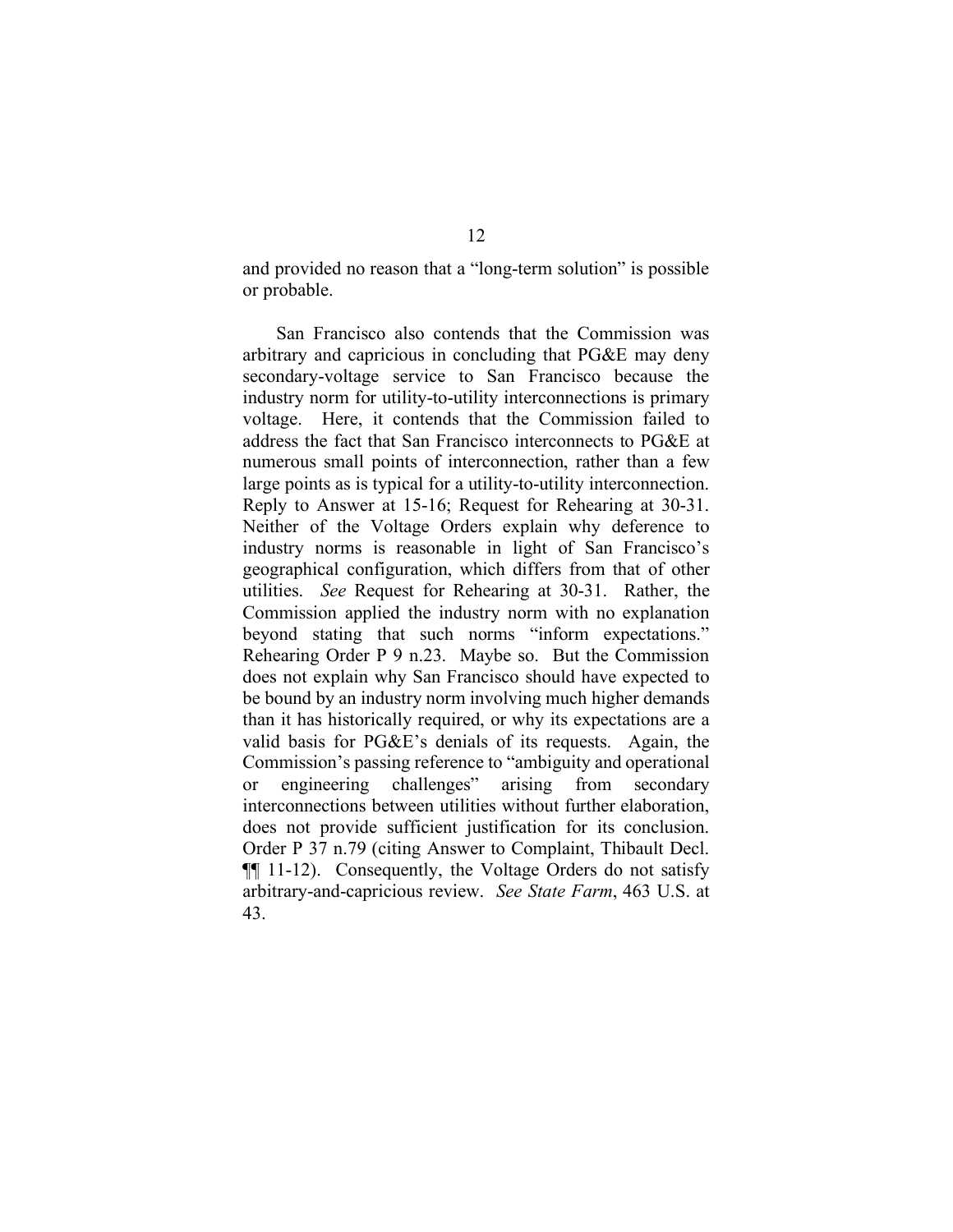and provided no reason that a "long-term solution" is possible or probable.

San Francisco also contends that the Commission was arbitrary and capricious in concluding that PG&E may deny secondary-voltage service to San Francisco because the industry norm for utility-to-utility interconnections is primary voltage. Here, it contends that the Commission failed to address the fact that San Francisco interconnects to PG&E at numerous small points of interconnection, rather than a few large points as is typical for a utility-to-utility interconnection. Reply to Answer at 15-16; Request for Rehearing at 30-31. Neither of the Voltage Orders explain why deference to industry norms is reasonable in light of San Francisco's geographical configuration, which differs from that of other utilities. *See* Request for Rehearing at 30-31. Rather, the Commission applied the industry norm with no explanation beyond stating that such norms "inform expectations." Rehearing Order P 9 n.23. Maybe so. But the Commission does not explain why San Francisco should have expected to be bound by an industry norm involving much higher demands than it has historically required, or why its expectations are a valid basis for PG&E's denials of its requests. Again, the Commission's passing reference to "ambiguity and operational or engineering challenges" arising from secondary interconnections between utilities without further elaboration, does not provide sufficient justification for its conclusion. Order P 37 n.79 (citing Answer to Complaint, Thibault Decl. ¶¶ 11-12). Consequently, the Voltage Orders do not satisfy arbitrary-and-capricious review. *See State Farm*, 463 U.S. at 43.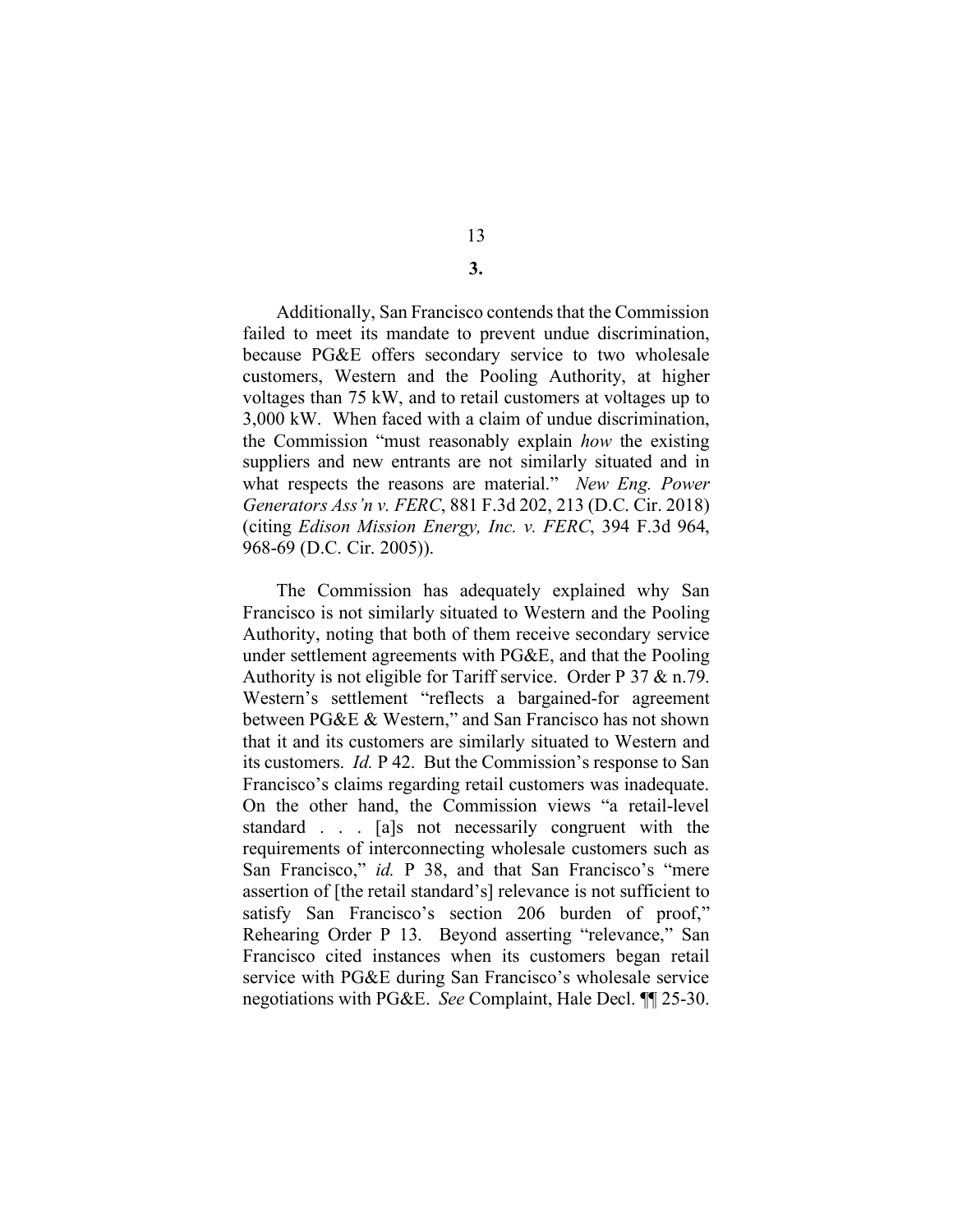# 13

# **3.**

Additionally, San Francisco contends that the Commission failed to meet its mandate to prevent undue discrimination, because PG&E offers secondary service to two wholesale customers, Western and the Pooling Authority, at higher voltages than 75 kW, and to retail customers at voltages up to 3,000 kW. When faced with a claim of undue discrimination, the Commission "must reasonably explain *how* the existing suppliers and new entrants are not similarly situated and in what respects the reasons are material." *New Eng. Power Generators Ass'n v. FERC*, 881 F.3d 202, 213 (D.C. Cir. 2018) (citing *Edison Mission Energy, Inc. v. FERC*, 394 F.3d 964, 968-69 (D.C. Cir. 2005)).

The Commission has adequately explained why San Francisco is not similarly situated to Western and the Pooling Authority, noting that both of them receive secondary service under settlement agreements with PG&E, and that the Pooling Authority is not eligible for Tariff service. Order P 37 & n.79. Western's settlement "reflects a bargained-for agreement between PG&E & Western," and San Francisco has not shown that it and its customers are similarly situated to Western and its customers. *Id.* P 42. But the Commission's response to San Francisco's claims regarding retail customers was inadequate. On the other hand, the Commission views "a retail-level standard . . . [a]s not necessarily congruent with the requirements of interconnecting wholesale customers such as San Francisco," *id.* P 38, and that San Francisco's "mere assertion of [the retail standard's] relevance is not sufficient to satisfy San Francisco's section 206 burden of proof," Rehearing Order P 13. Beyond asserting "relevance," San Francisco cited instances when its customers began retail service with PG&E during San Francisco's wholesale service negotiations with PG&E. *See* Complaint, Hale Decl. ¶¶ 25-30.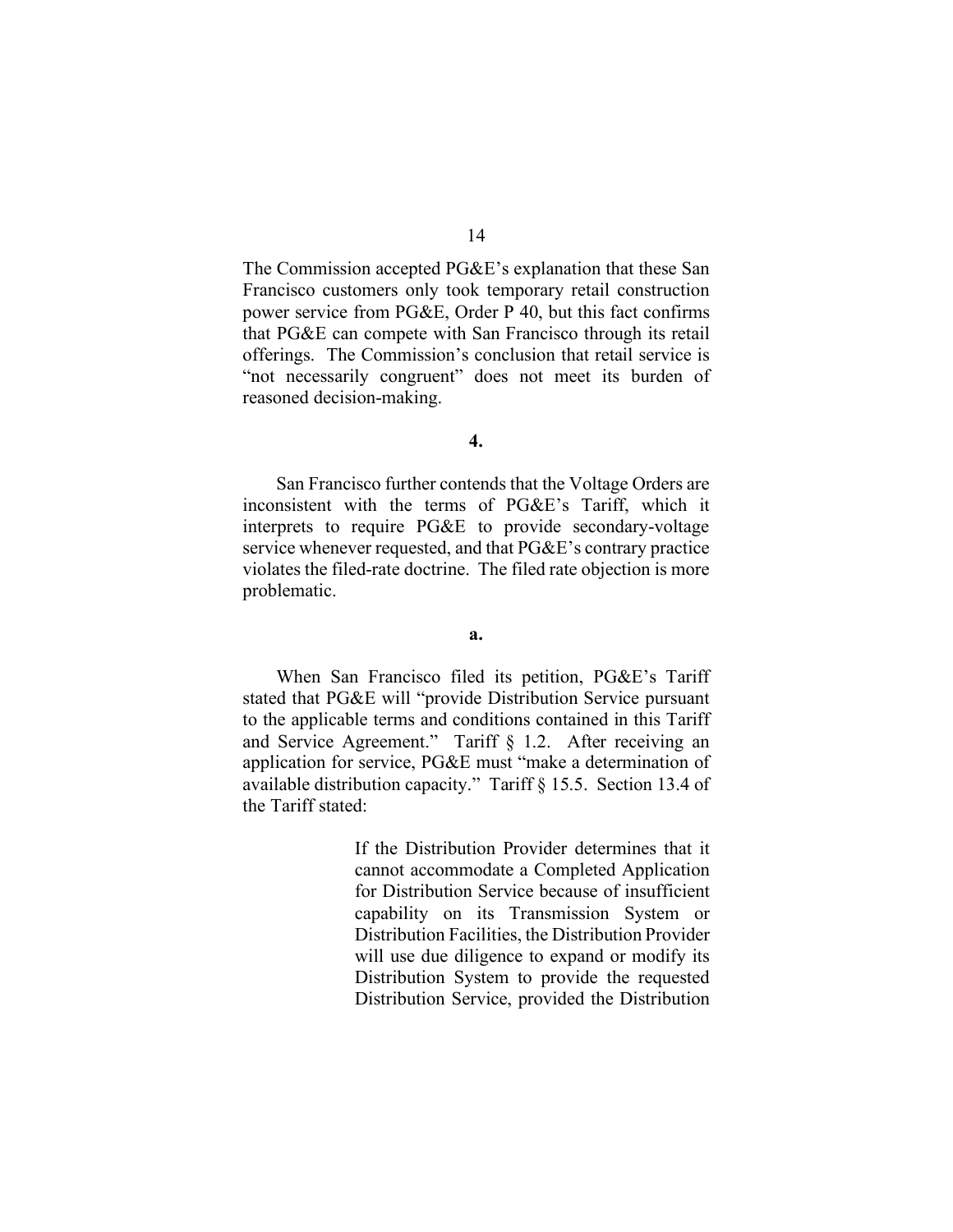The Commission accepted PG&E's explanation that these San Francisco customers only took temporary retail construction power service from PG&E, Order P 40, but this fact confirms that PG&E can compete with San Francisco through its retail offerings. The Commission's conclusion that retail service is "not necessarily congruent" does not meet its burden of reasoned decision-making.

**4.**

San Francisco further contends that the Voltage Orders are inconsistent with the terms of PG&E's Tariff, which it interprets to require PG&E to provide secondary-voltage service whenever requested, and that PG&E's contrary practice violates the filed-rate doctrine. The filed rate objection is more problematic.

**a.**

When San Francisco filed its petition, PG&E's Tariff stated that PG&E will "provide Distribution Service pursuant to the applicable terms and conditions contained in this Tariff and Service Agreement." Tariff § 1.2. After receiving an application for service, PG&E must "make a determination of available distribution capacity." Tariff § 15.5. Section 13.4 of the Tariff stated:

> If the Distribution Provider determines that it cannot accommodate a Completed Application for Distribution Service because of insufficient capability on its Transmission System or Distribution Facilities, the Distribution Provider will use due diligence to expand or modify its Distribution System to provide the requested Distribution Service, provided the Distribution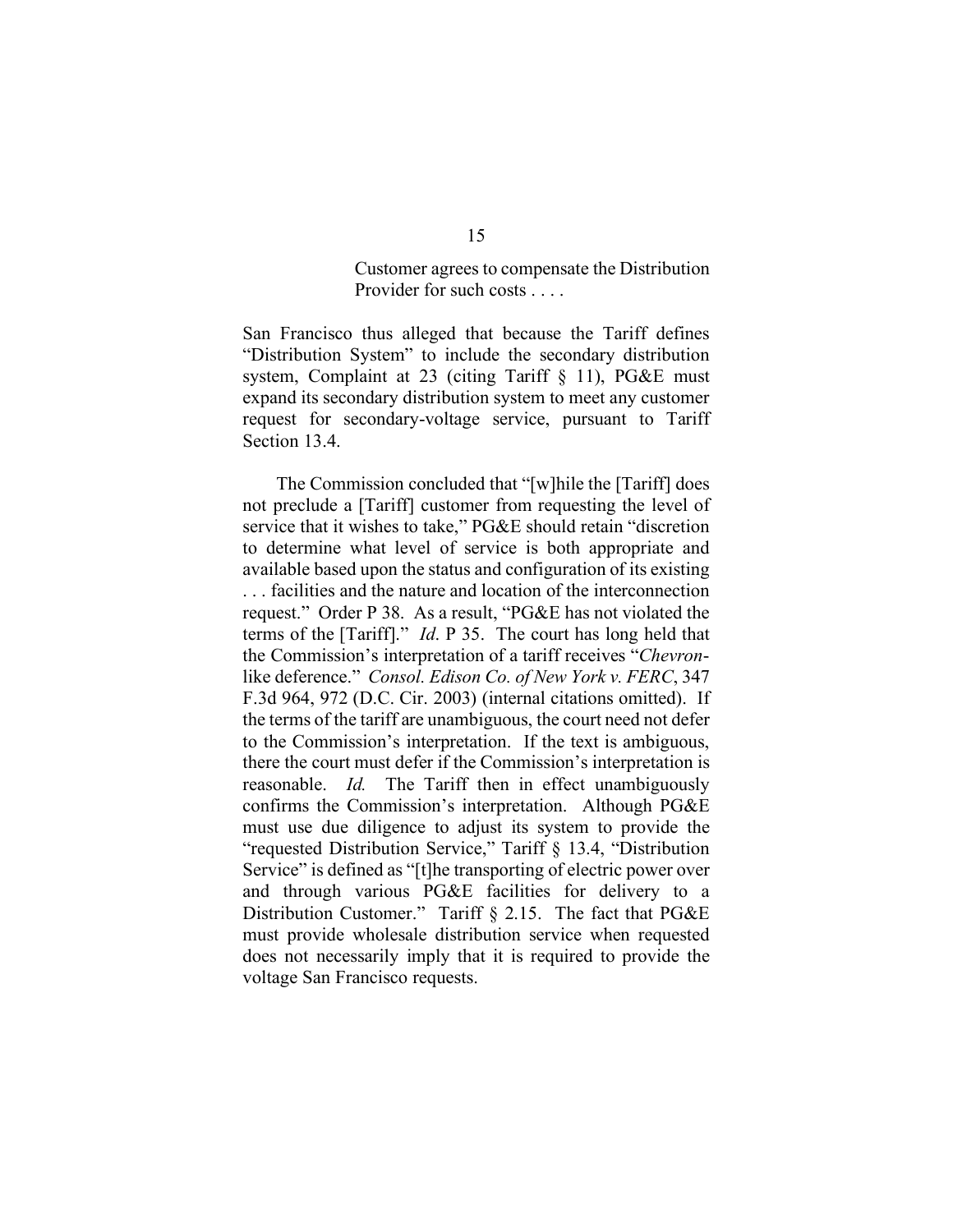Customer agrees to compensate the Distribution Provider for such costs . . . .

San Francisco thus alleged that because the Tariff defines "Distribution System" to include the secondary distribution system, Complaint at 23 (citing Tariff § 11), PG&E must expand its secondary distribution system to meet any customer request for secondary-voltage service, pursuant to Tariff Section 13.4.

The Commission concluded that "[w]hile the [Tariff] does not preclude a [Tariff] customer from requesting the level of service that it wishes to take," PG&E should retain "discretion to determine what level of service is both appropriate and available based upon the status and configuration of its existing . . . facilities and the nature and location of the interconnection request." Order P 38. As a result, "PG&E has not violated the terms of the [Tariff]." *Id*. P 35. The court has long held that the Commission's interpretation of a tariff receives "*Chevron*like deference." *Consol. Edison Co. of New York v. FERC*, 347 F.3d 964, 972 (D.C. Cir. 2003) (internal citations omitted). If the terms of the tariff are unambiguous, the court need not defer to the Commission's interpretation. If the text is ambiguous, there the court must defer if the Commission's interpretation is reasonable. *Id.* The Tariff then in effect unambiguously confirms the Commission's interpretation. Although PG&E must use due diligence to adjust its system to provide the "requested Distribution Service," Tariff § 13.4, "Distribution Service" is defined as "[t]he transporting of electric power over and through various PG&E facilities for delivery to a Distribution Customer." Tariff § 2.15. The fact that PG&E must provide wholesale distribution service when requested does not necessarily imply that it is required to provide the voltage San Francisco requests.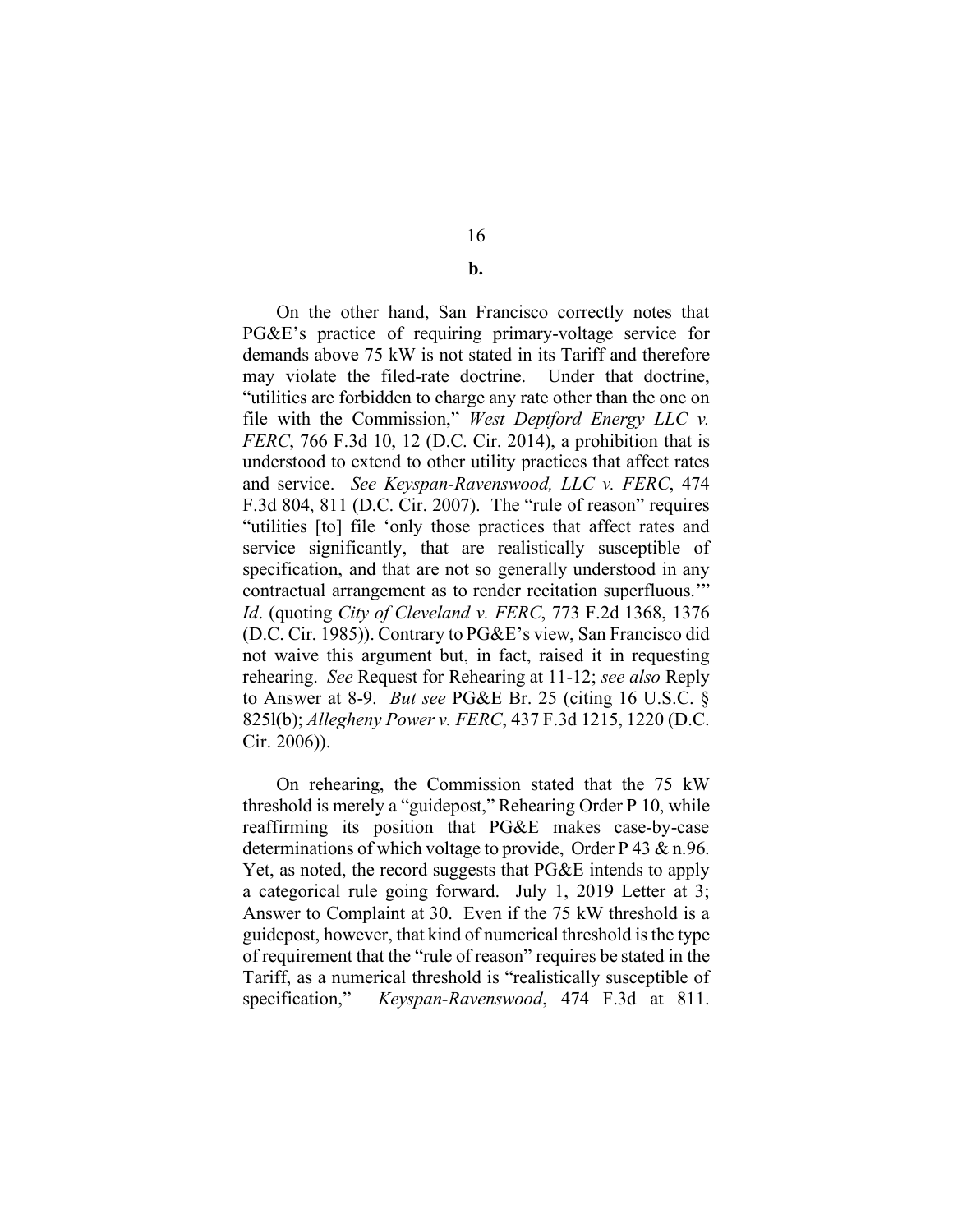16

**b.**

On the other hand, San Francisco correctly notes that PG&E's practice of requiring primary-voltage service for demands above 75 kW is not stated in its Tariff and therefore may violate the filed-rate doctrine. Under that doctrine, "utilities are forbidden to charge any rate other than the one on file with the Commission," *West Deptford Energy LLC v. FERC*, 766 F.3d 10, 12 (D.C. Cir. 2014), a prohibition that is understood to extend to other utility practices that affect rates and service. *See Keyspan-Ravenswood, LLC v. FERC*, 474 F.3d 804, 811 (D.C. Cir. 2007). The "rule of reason" requires "utilities [to] file 'only those practices that affect rates and service significantly, that are realistically susceptible of specification, and that are not so generally understood in any contractual arrangement as to render recitation superfluous.'" *Id*. (quoting *City of Cleveland v. FERC*, 773 F.2d 1368, 1376 (D.C. Cir. 1985)). Contrary to PG&E's view, San Francisco did not waive this argument but, in fact, raised it in requesting rehearing. *See* Request for Rehearing at 11-12; *see also* Reply to Answer at 8-9. *But see* PG&E Br. 25 (citing 16 U.S.C. § 825l(b); *Allegheny Power v. FERC*, 437 F.3d 1215, 1220 (D.C. Cir. 2006)).

On rehearing, the Commission stated that the 75 kW threshold is merely a "guidepost," Rehearing Order P 10, while reaffirming its position that PG&E makes case-by-case determinations of which voltage to provide, Order P 43 & n.96. Yet, as noted, the record suggests that PG&E intends to apply a categorical rule going forward. July 1, 2019 Letter at 3; Answer to Complaint at 30. Even if the 75 kW threshold is a guidepost, however, that kind of numerical threshold is the type of requirement that the "rule of reason" requires be stated in the Tariff, as a numerical threshold is "realistically susceptible of specification," *Keyspan-Ravenswood*, 474 F.3d at 811.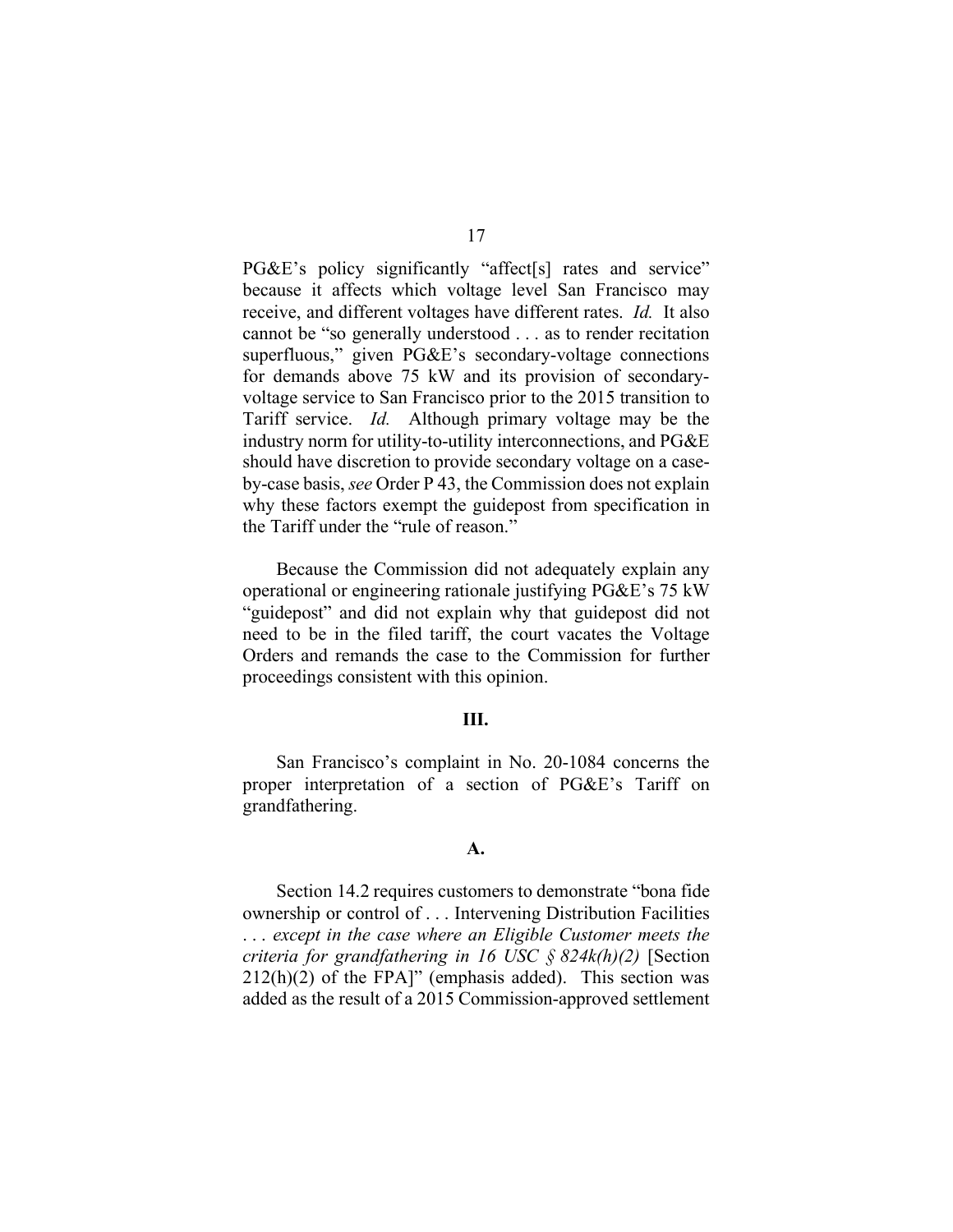PG&E's policy significantly "affect[s] rates and service" because it affects which voltage level San Francisco may receive, and different voltages have different rates. *Id.* It also cannot be "so generally understood . . . as to render recitation superfluous," given PG&E's secondary-voltage connections for demands above 75 kW and its provision of secondaryvoltage service to San Francisco prior to the 2015 transition to Tariff service. *Id.* Although primary voltage may be the industry norm for utility-to-utility interconnections, and PG&E should have discretion to provide secondary voltage on a caseby-case basis, *see* Order P 43, the Commission does not explain why these factors exempt the guidepost from specification in the Tariff under the "rule of reason."

Because the Commission did not adequately explain any operational or engineering rationale justifying PG&E's 75 kW "guidepost" and did not explain why that guidepost did not need to be in the filed tariff, the court vacates the Voltage Orders and remands the case to the Commission for further proceedings consistent with this opinion.

# **III.**

San Francisco's complaint in No. 20-1084 concerns the proper interpretation of a section of PG&E's Tariff on grandfathering.

## **A.**

Section 14.2 requires customers to demonstrate "bona fide ownership or control of . . . Intervening Distribution Facilities . . . *except in the case where an Eligible Customer meets the criteria for grandfathering in 16 USC § 824k(h)(2)* [Section  $212(h)(2)$  of the FPA]" (emphasis added). This section was added as the result of a 2015 Commission-approved settlement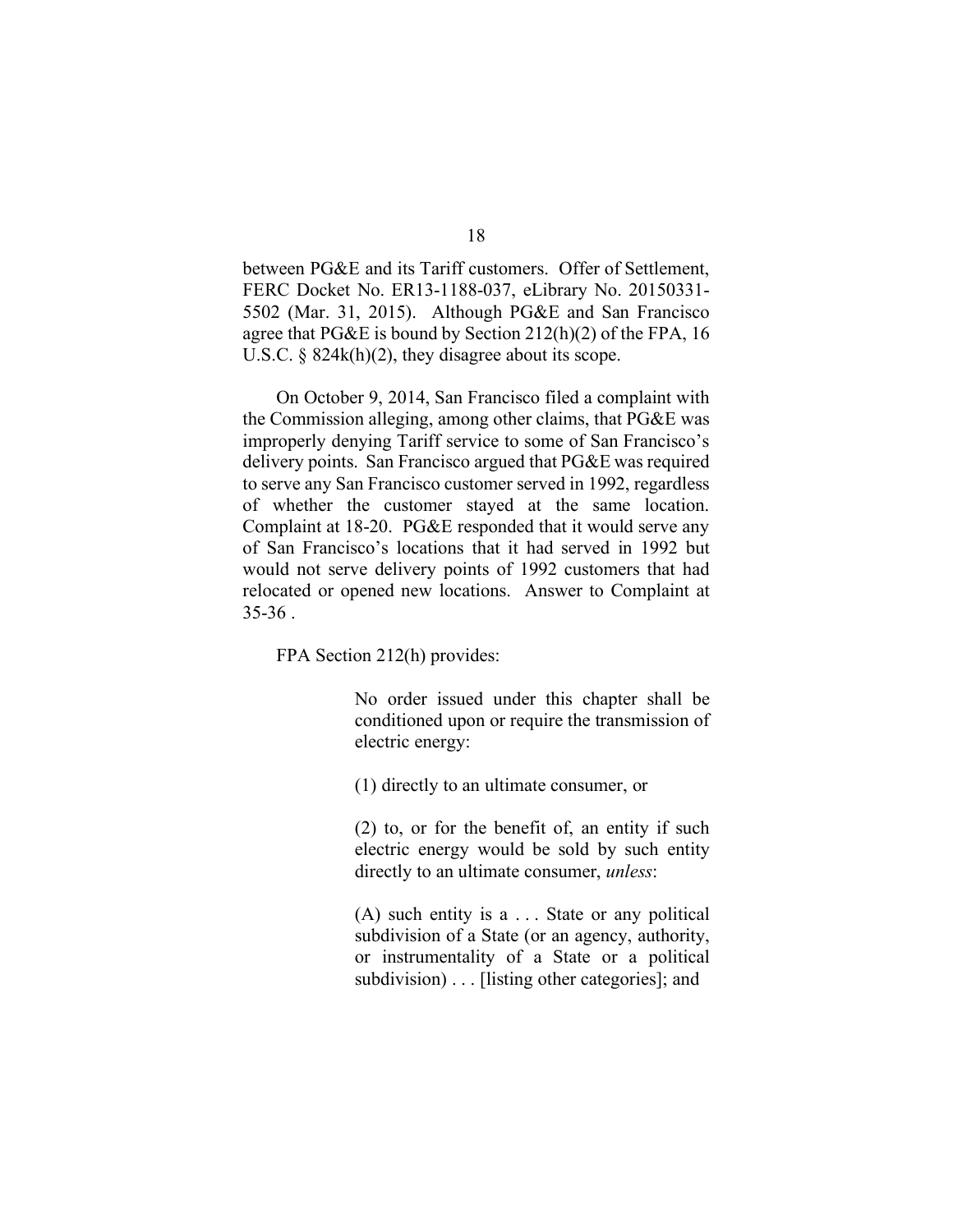between PG&E and its Tariff customers. Offer of Settlement, FERC Docket No. ER13-1188-037, eLibrary No. 20150331- 5502 (Mar. 31, 2015). Although PG&E and San Francisco agree that PG&E is bound by Section 212(h)(2) of the FPA, 16 U.S.C.  $\S$  824k(h)(2), they disagree about its scope.

On October 9, 2014, San Francisco filed a complaint with the Commission alleging, among other claims, that PG&E was improperly denying Tariff service to some of San Francisco's delivery points. San Francisco argued that PG&E was required to serve any San Francisco customer served in 1992, regardless of whether the customer stayed at the same location. Complaint at 18-20. PG&E responded that it would serve any of San Francisco's locations that it had served in 1992 but would not serve delivery points of 1992 customers that had relocated or opened new locations. Answer to Complaint at  $35-36$ .

FPA Section 212(h) provides:

No order issued under this chapter shall be conditioned upon or require the transmission of electric energy:

(1) directly to an ultimate consumer, or

(2) to, or for the benefit of, an entity if such electric energy would be sold by such entity directly to an ultimate consumer, *unless*:

 $(A)$  such entity is a ... State or any political subdivision of a State (or an agency, authority, or instrumentality of a State or a political subdivision) . . . [listing other categories]; and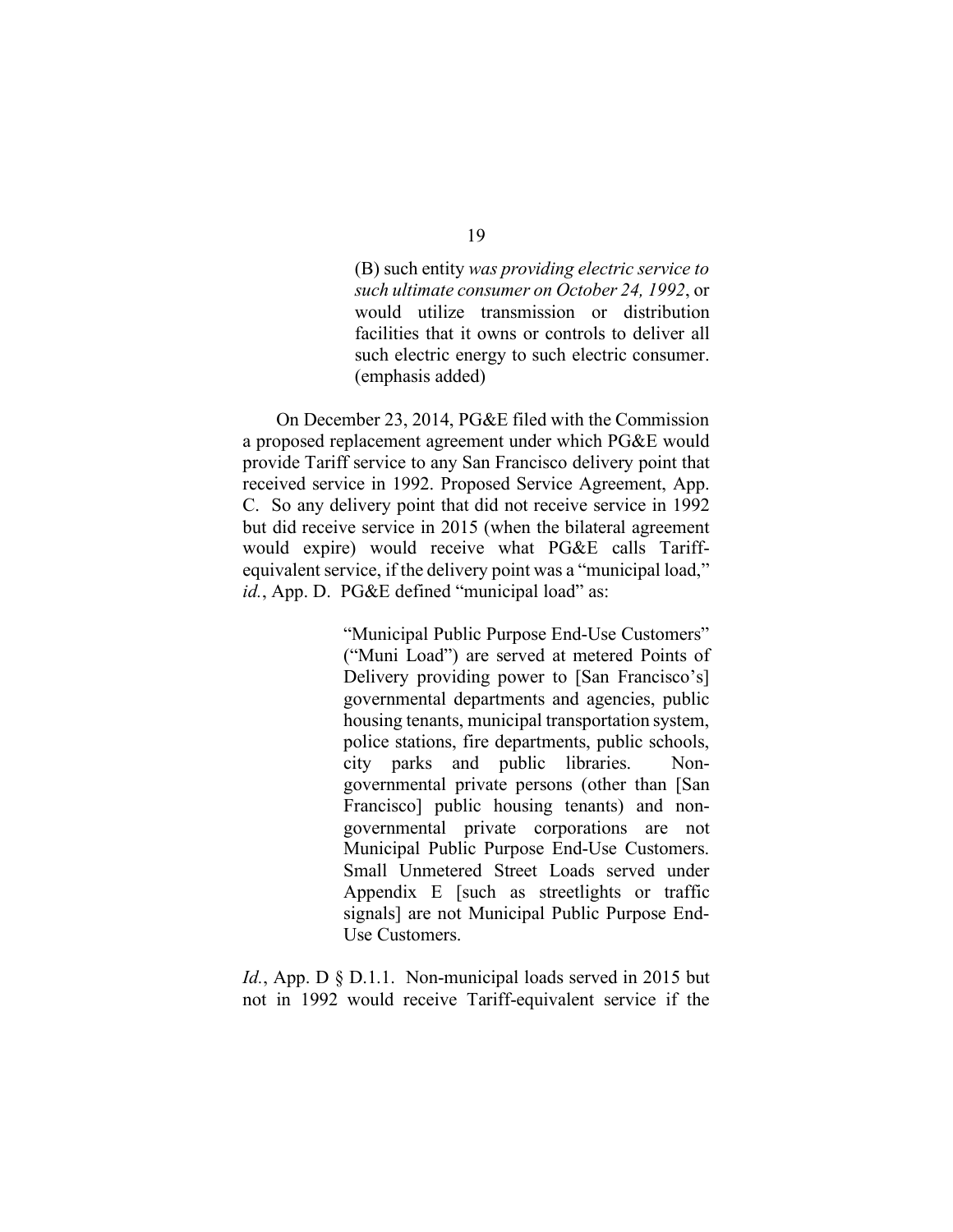(B) such entity *was providing electric service to such ultimate consumer on October 24, 1992*, or would utilize transmission or distribution facilities that it owns or controls to deliver all such electric energy to such electric consumer. (emphasis added)

On December 23, 2014, PG&E filed with the Commission a proposed replacement agreement under which PG&E would provide Tariff service to any San Francisco delivery point that received service in 1992. Proposed Service Agreement, App. C. So any delivery point that did not receive service in 1992 but did receive service in 2015 (when the bilateral agreement would expire) would receive what PG&E calls Tariffequivalent service, if the delivery point was a "municipal load," id., App. D. PG&E defined "municipal load" as:

> "Municipal Public Purpose End-Use Customers" ("Muni Load") are served at metered Points of Delivery providing power to [San Francisco's] governmental departments and agencies, public housing tenants, municipal transportation system, police stations, fire departments, public schools, city parks and public libraries. Nongovernmental private persons (other than [San Francisco] public housing tenants) and nongovernmental private corporations are not Municipal Public Purpose End-Use Customers. Small Unmetered Street Loads served under Appendix E [such as streetlights or traffic signals] are not Municipal Public Purpose End-Use Customers.

*Id.*, App. D § D.1.1. Non-municipal loads served in 2015 but not in 1992 would receive Tariff-equivalent service if the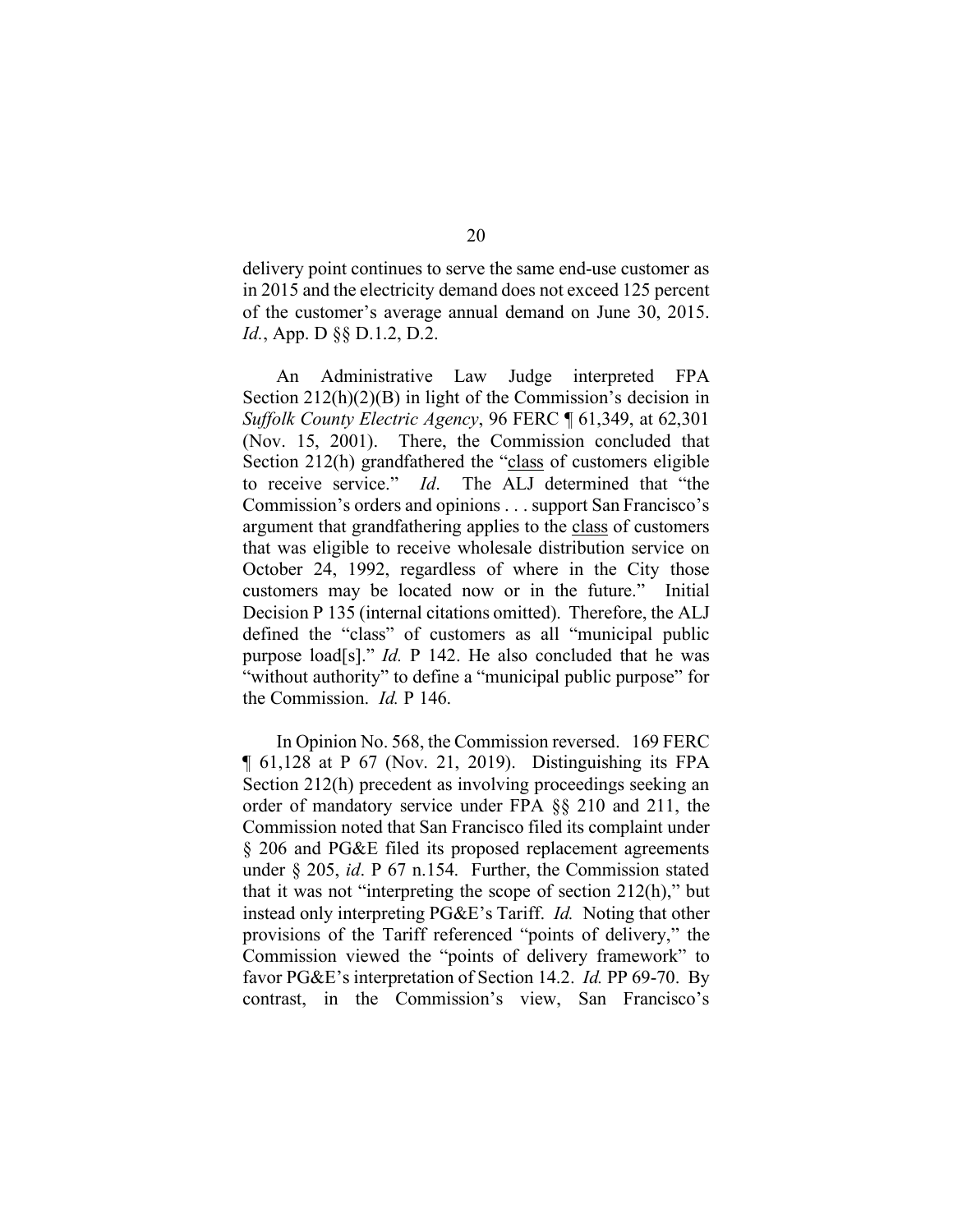delivery point continues to serve the same end-use customer as in 2015 and the electricity demand does not exceed 125 percent of the customer's average annual demand on June 30, 2015. *Id.*, App. D §§ D.1.2, D.2.

An Administrative Law Judge interpreted FPA Section 212(h)(2)(B) in light of the Commission's decision in *Suffolk County Electric Agency*, 96 FERC ¶ 61,349, at 62,301 (Nov. 15, 2001). There, the Commission concluded that Section 212(h) grandfathered the "class of customers eligible to receive service." *Id*. The ALJ determined that "the Commission's orders and opinions . . . support San Francisco's argument that grandfathering applies to the class of customers that was eligible to receive wholesale distribution service on October 24, 1992, regardless of where in the City those customers may be located now or in the future." Initial Decision P 135 (internal citations omitted). Therefore, the ALJ defined the "class" of customers as all "municipal public purpose load[s]." *Id.* P 142. He also concluded that he was "without authority" to define a "municipal public purpose" for the Commission. *Id.* P 146.

In Opinion No. 568, the Commission reversed. 169 FERC ¶ 61,128 at P 67 (Nov. 21, 2019). Distinguishing its FPA Section 212(h) precedent as involving proceedings seeking an order of mandatory service under FPA §§ 210 and 211, the Commission noted that San Francisco filed its complaint under § 206 and PG&E filed its proposed replacement agreements under § 205, *id*. P 67 n.154. Further, the Commission stated that it was not "interpreting the scope of section 212(h)," but instead only interpreting PG&E's Tariff. *Id.* Noting that other provisions of the Tariff referenced "points of delivery," the Commission viewed the "points of delivery framework" to favor PG&E's interpretation of Section 14.2. *Id.* PP 69-70. By contrast, in the Commission's view, San Francisco's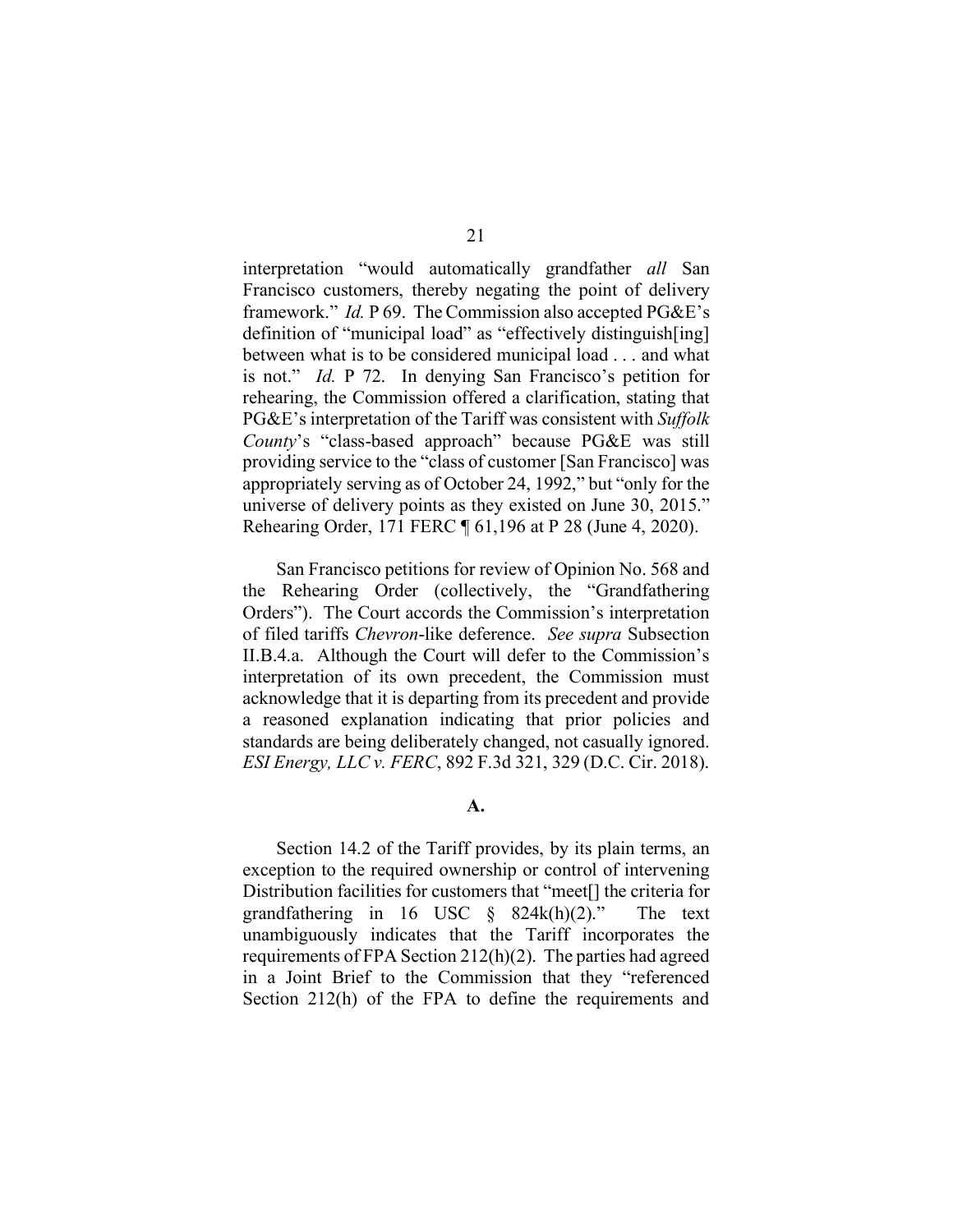interpretation "would automatically grandfather *all* San Francisco customers, thereby negating the point of delivery framework." *Id.* P 69. The Commission also accepted PG&E's definition of "municipal load" as "effectively distinguish[ing] between what is to be considered municipal load . . . and what is not." *Id.* P 72. In denying San Francisco's petition for rehearing, the Commission offered a clarification, stating that PG&E's interpretation of the Tariff was consistent with *Suffolk County*'s "class-based approach" because PG&E was still providing service to the "class of customer [San Francisco] was appropriately serving as of October 24, 1992," but "only for the universe of delivery points as they existed on June 30, 2015." Rehearing Order, 171 FERC ¶ 61,196 at P 28 (June 4, 2020).

San Francisco petitions for review of Opinion No. 568 and the Rehearing Order (collectively, the "Grandfathering Orders"). The Court accords the Commission's interpretation of filed tariffs *Chevron*-like deference. *See supra* Subsection II.B.4.a. Although the Court will defer to the Commission's interpretation of its own precedent, the Commission must acknowledge that it is departing from its precedent and provide a reasoned explanation indicating that prior policies and standards are being deliberately changed, not casually ignored. *ESI Energy, LLC v. FERC*, 892 F.3d 321, 329 (D.C. Cir. 2018).

#### **A.**

Section 14.2 of the Tariff provides, by its plain terms, an exception to the required ownership or control of intervening Distribution facilities for customers that "meet[] the criteria for grandfathering in 16 USC § 824k(h)(2)." The text unambiguously indicates that the Tariff incorporates the requirements of FPA Section 212(h)(2). The parties had agreed in a Joint Brief to the Commission that they "referenced Section 212(h) of the FPA to define the requirements and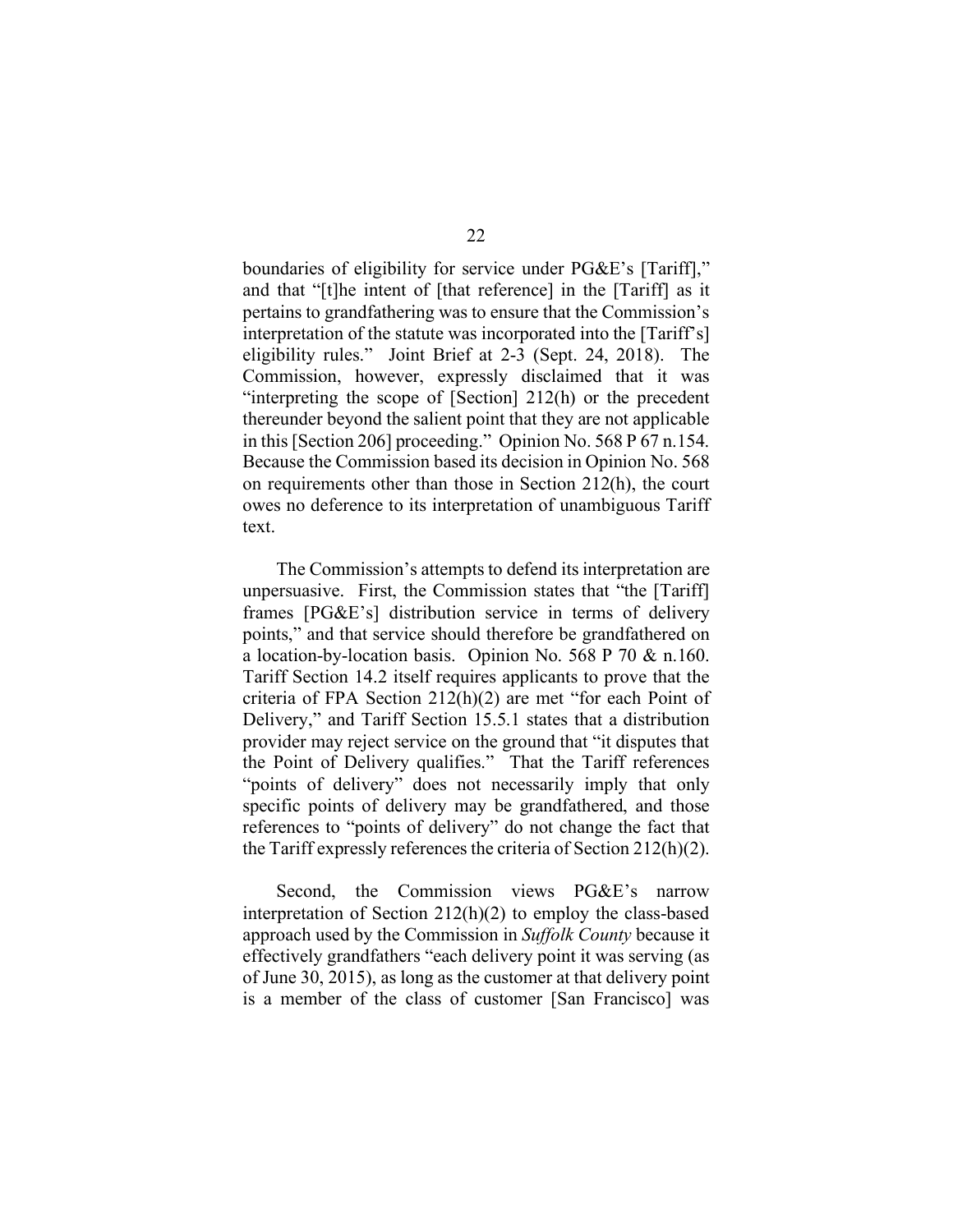boundaries of eligibility for service under PG&E's [Tariff]," and that "[t]he intent of [that reference] in the [Tariff] as it pertains to grandfathering was to ensure that the Commission's interpretation of the statute was incorporated into the [Tariff's] eligibility rules." Joint Brief at 2-3 (Sept. 24, 2018). The Commission, however, expressly disclaimed that it was "interpreting the scope of [Section] 212(h) or the precedent thereunder beyond the salient point that they are not applicable in this [Section 206] proceeding." Opinion No. 568 P 67 n.154. Because the Commission based its decision in Opinion No. 568 on requirements other than those in Section 212(h), the court owes no deference to its interpretation of unambiguous Tariff text.

The Commission's attempts to defend its interpretation are unpersuasive. First, the Commission states that "the [Tariff] frames [PG&E's] distribution service in terms of delivery points," and that service should therefore be grandfathered on a location-by-location basis. Opinion No. 568 P 70 & n.160. Tariff Section 14.2 itself requires applicants to prove that the criteria of FPA Section 212(h)(2) are met "for each Point of Delivery," and Tariff Section 15.5.1 states that a distribution provider may reject service on the ground that "it disputes that the Point of Delivery qualifies." That the Tariff references "points of delivery" does not necessarily imply that only specific points of delivery may be grandfathered, and those references to "points of delivery" do not change the fact that the Tariff expressly references the criteria of Section 212(h)(2).

Second, the Commission views PG&E's narrow interpretation of Section 212(h)(2) to employ the class-based approach used by the Commission in *Suffolk County* because it effectively grandfathers "each delivery point it was serving (as of June 30, 2015), as long as the customer at that delivery point is a member of the class of customer [San Francisco] was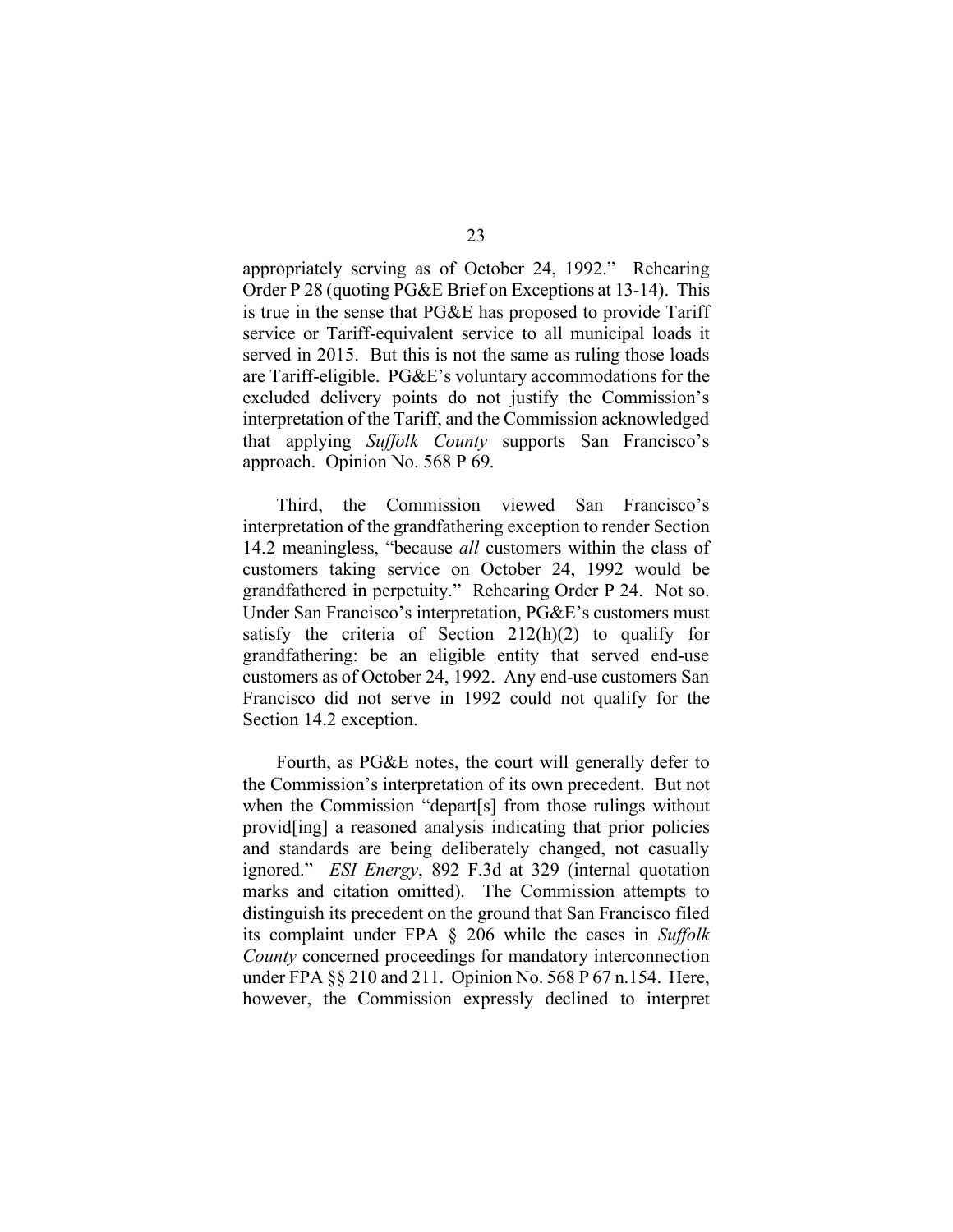appropriately serving as of October 24, 1992." Rehearing Order P 28 (quoting PG&E Brief on Exceptions at 13-14). This is true in the sense that PG&E has proposed to provide Tariff service or Tariff-equivalent service to all municipal loads it served in 2015. But this is not the same as ruling those loads are Tariff-eligible. PG&E's voluntary accommodations for the excluded delivery points do not justify the Commission's interpretation of the Tariff, and the Commission acknowledged that applying *Suffolk County* supports San Francisco's approach. Opinion No. 568 P 69.

Third, the Commission viewed San Francisco's interpretation of the grandfathering exception to render Section 14.2 meaningless, "because *all* customers within the class of customers taking service on October 24, 1992 would be grandfathered in perpetuity." Rehearing Order P 24. Not so. Under San Francisco's interpretation, PG&E's customers must satisfy the criteria of Section  $212(h)(2)$  to qualify for grandfathering: be an eligible entity that served end-use customers as of October 24, 1992. Any end-use customers San Francisco did not serve in 1992 could not qualify for the Section 14.2 exception.

Fourth, as PG&E notes, the court will generally defer to the Commission's interpretation of its own precedent. But not when the Commission "depart[s] from those rulings without provid[ing] a reasoned analysis indicating that prior policies and standards are being deliberately changed, not casually ignored." *ESI Energy*, 892 F.3d at 329 (internal quotation marks and citation omitted). The Commission attempts to distinguish its precedent on the ground that San Francisco filed its complaint under FPA § 206 while the cases in *Suffolk County* concerned proceedings for mandatory interconnection under FPA §§ 210 and 211. Opinion No. 568 P 67 n.154. Here, however, the Commission expressly declined to interpret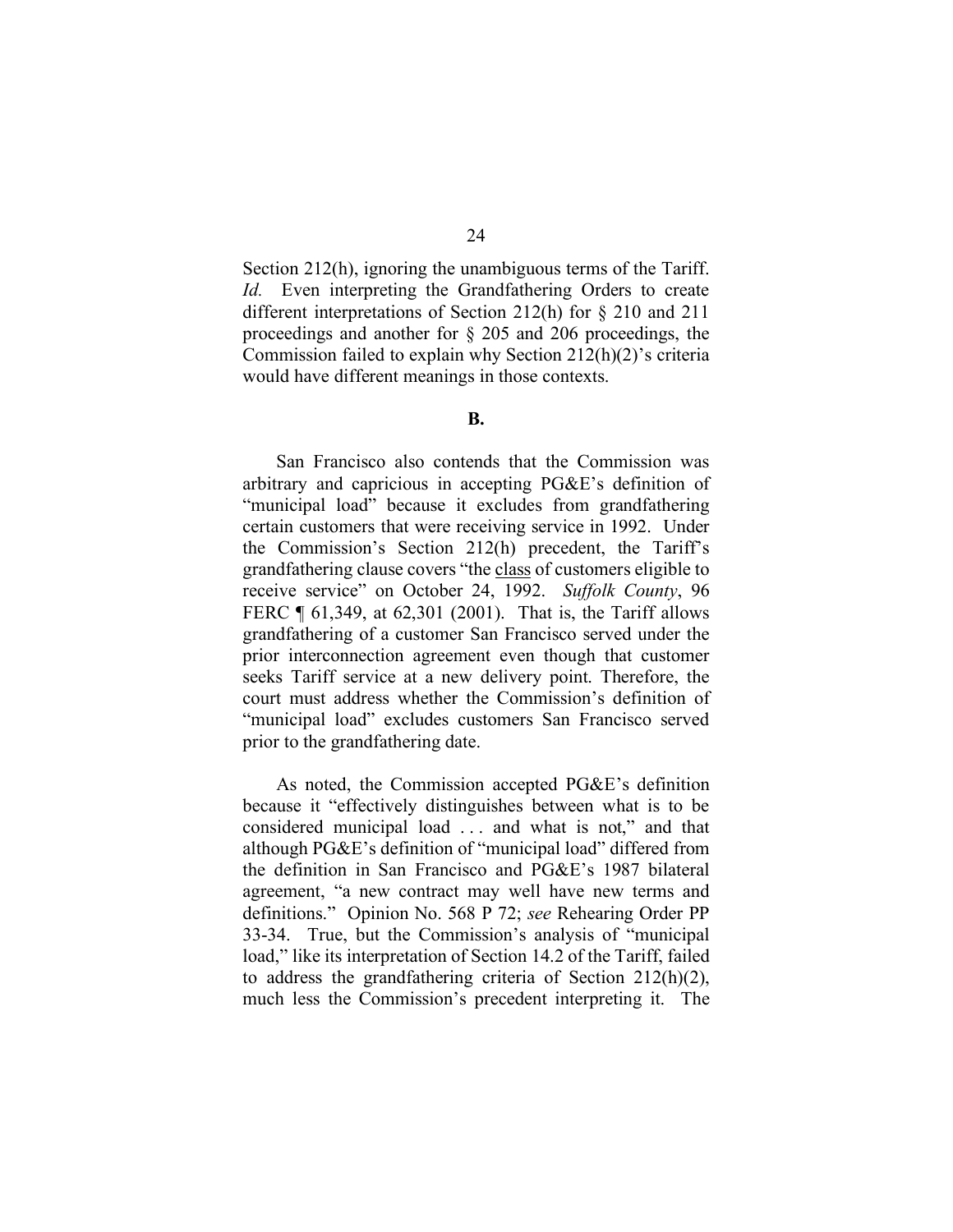24

Section 212(h), ignoring the unambiguous terms of the Tariff. *Id.* Even interpreting the Grandfathering Orders to create different interpretations of Section 212(h) for § 210 and 211 proceedings and another for § 205 and 206 proceedings, the Commission failed to explain why Section 212(h)(2)'s criteria would have different meanings in those contexts.

**B.**

San Francisco also contends that the Commission was arbitrary and capricious in accepting PG&E's definition of "municipal load" because it excludes from grandfathering certain customers that were receiving service in 1992. Under the Commission's Section 212(h) precedent, the Tariff's grandfathering clause covers "the class of customers eligible to receive service" on October 24, 1992. *Suffolk County*, 96 FERC ¶ 61,349, at 62,301 (2001). That is, the Tariff allows grandfathering of a customer San Francisco served under the prior interconnection agreement even though that customer seeks Tariff service at a new delivery point. Therefore, the court must address whether the Commission's definition of "municipal load" excludes customers San Francisco served prior to the grandfathering date.

As noted, the Commission accepted PG&E's definition because it "effectively distinguishes between what is to be considered municipal load . . . and what is not," and that although PG&E's definition of "municipal load" differed from the definition in San Francisco and PG&E's 1987 bilateral agreement, "a new contract may well have new terms and definitions." Opinion No. 568 P 72; *see* Rehearing Order PP 33-34. True, but the Commission's analysis of "municipal load," like its interpretation of Section 14.2 of the Tariff, failed to address the grandfathering criteria of Section 212(h)(2), much less the Commission's precedent interpreting it. The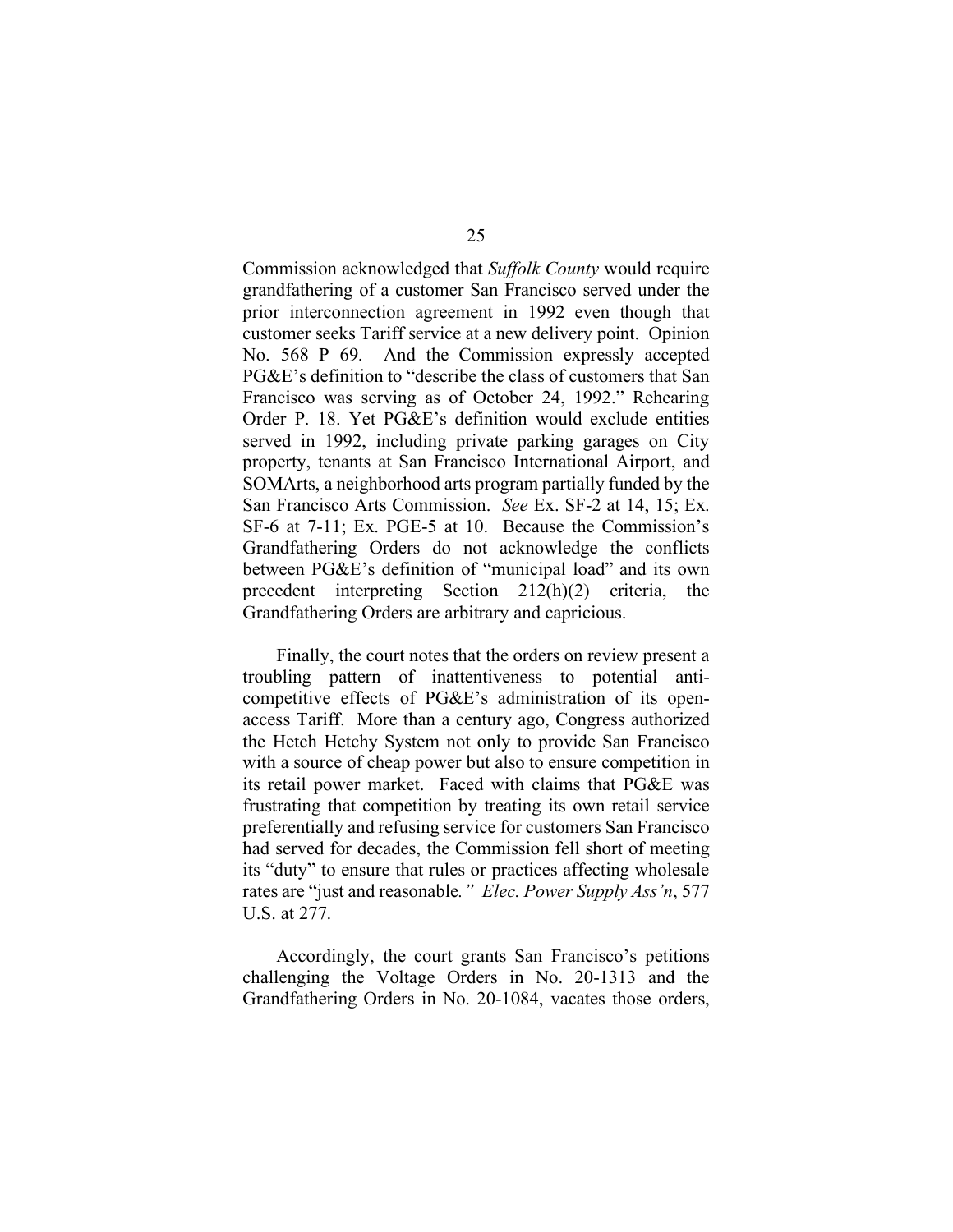Commission acknowledged that *Suffolk County* would require grandfathering of a customer San Francisco served under the prior interconnection agreement in 1992 even though that customer seeks Tariff service at a new delivery point. Opinion No. 568 P 69. And the Commission expressly accepted PG&E's definition to "describe the class of customers that San Francisco was serving as of October 24, 1992." Rehearing Order P. 18. Yet PG&E's definition would exclude entities served in 1992, including private parking garages on City property, tenants at San Francisco International Airport, and SOMArts, a neighborhood arts program partially funded by the San Francisco Arts Commission. *See* Ex. SF-2 at 14, 15; Ex. SF-6 at 7-11; Ex. PGE-5 at 10. Because the Commission's Grandfathering Orders do not acknowledge the conflicts between PG&E's definition of "municipal load" and its own precedent interpreting Section 212(h)(2) criteria, the Grandfathering Orders are arbitrary and capricious.

Finally, the court notes that the orders on review present a troubling pattern of inattentiveness to potential anticompetitive effects of PG&E's administration of its openaccess Tariff. More than a century ago, Congress authorized the Hetch Hetchy System not only to provide San Francisco with a source of cheap power but also to ensure competition in its retail power market. Faced with claims that PG&E was frustrating that competition by treating its own retail service preferentially and refusing service for customers San Francisco had served for decades, the Commission fell short of meeting its "duty" to ensure that rules or practices affecting wholesale rates are "just and reasonable*." Elec. Power Supply Ass'n*, 577 U.S. at 277.

Accordingly, the court grants San Francisco's petitions challenging the Voltage Orders in No. 20-1313 and the Grandfathering Orders in No. 20-1084, vacates those orders,